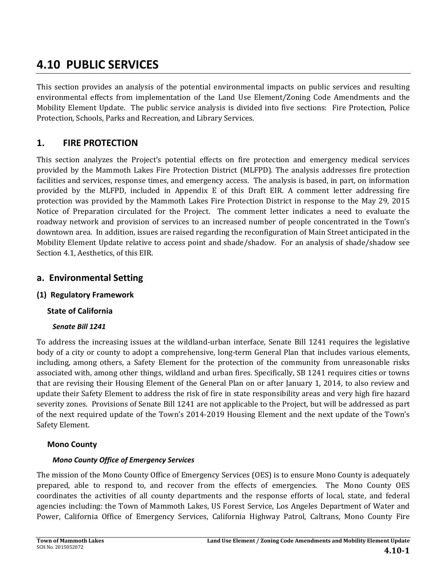# **4.10 PUBLIC SERVICES**

This section provides an analysis of the potential environmental impacts on public services and resulting environmental effects from implementation of the Land Use Element/Zoning Code Amendments and the Mobility Element Update. The public service analysis is divided into five sections: Fire Protection, Police Protection, Schools, Parks and Recreation, and Library Services.

## **1. FIRE PROTECTION**

This section analyzes the Project's potential effects on fire protection and emergency medical services provided by the Mammoth Lakes Fire Protection District (MLFPD). The analysis addresses fire protection facilities and services, response times, and emergency access. The analysis is based, in part, on information provided by the MLFPD, included in Appendix E of this Draft EIR. A comment letter addressing fire protection was provided by the Mammoth Lakes Fire Protection District in response to the May 29, 2015 Notice of Preparation circulated for the Project. The comment letter indicates a need to evaluate the roadway network and provision of services to an increased number of people concentrated in the Town's downtown area. In addition, issues are raised regarding the reconfiguration of Main Street anticipated in the Mobility Element Update relative to access point and shade/shadow. For an analysis of shade/shadow see Section 4.1, Aesthetics, of this EIR.

## **a. Environmental Setting**

## **(1) Regulatory Framework**

## **State of California**

## *Senate Bill 1241*

To address the increasing issues at the wildland-urban interface, Senate Bill 1241 requires the legislative body of a city or county to adopt a comprehensive, long-term General Plan that includes various elements, including, among others, a Safety Element for the protection of the community from unreasonable risks associated with, among other things, wildland and urban fires. Specifically, SB 1241 requires cities or towns that are revising their Housing Element of the General Plan on or after January 1, 2014, to also review and update their Safety Element to address the risk of fire in state responsibility areas and very high fire hazard severity zones. Provisions of Senate Bill 1241 are not applicable to the Project, but will be addressed as part of the next required update of the Town's 2014–2019 Housing Element and the next update of the Town's Safety Element.

## **Mono County**

## *Mono County Office of Emergency Services*

The mission of the Mono County Office of Emergency Services (OES) is to ensure Mono County is adequately prepared, able to respond to, and recover from the effects of emergencies. The Mono County OES coordinates the activities of all county departments and the response efforts of local, state, and federal agencies including: the Town of Mammoth Lakes, US Forest Service, Los Angeles Department of Water and Power, California Office of Emergency Services, California Highway Patrol, Caltrans, Mono County Fire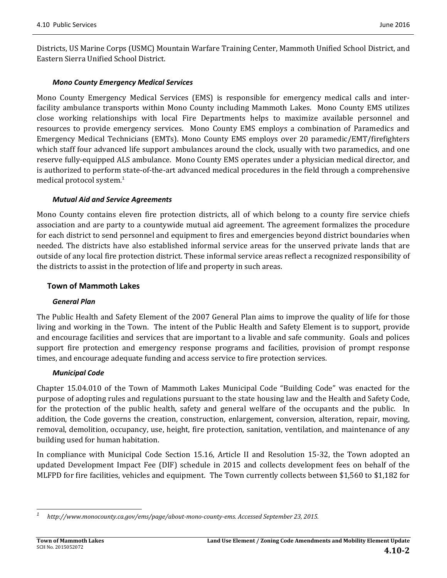Districts, US Marine Corps (USMC) Mountain Warfare Training Center, Mammoth Unified School District, and Eastern Sierra Unified School District. 

### *Mono County Emergency Medical Services*

Mono County Emergency Medical Services (EMS) is responsible for emergency medical calls and interfacility ambulance transports within Mono County including Mammoth Lakes. Mono County EMS utilizes close working relationships with local Fire Departments helps to maximize available personnel and resources to provide emergency services. Mono County EMS employs a combination of Paramedics and Emergency Medical Technicians (EMTs). Mono County EMS employs over 20 paramedic/EMT/firefighters which staff four advanced life support ambulances around the clock, usually with two paramedics, and one reserve fully-equipped ALS ambulance. Mono County EMS operates under a physician medical director, and is authorized to perform state-of-the-art advanced medical procedures in the field through a comprehensive medical protocol system.<sup>1</sup>

### *Mutual Aid and Service Agreements*

Mono County contains eleven fire protection districts, all of which belong to a county fire service chiefs association and are party to a countywide mutual aid agreement. The agreement formalizes the procedure for each district to send personnel and equipment to fires and emergencies beyond district boundaries when needed. The districts have also established informal service areas for the unserved private lands that are outside of any local fire protection district. These informal service areas reflect a recognized responsibility of the districts to assist in the protection of life and property in such areas.

### **Town of Mammoth Lakes**

#### *General Plan*

The Public Health and Safety Element of the 2007 General Plan aims to improve the quality of life for those living and working in the Town. The intent of the Public Health and Safety Element is to support, provide and encourage facilities and services that are important to a livable and safe community. Goals and polices support fire protection and emergency response programs and facilities, provision of prompt response times, and encourage adequate funding and access service to fire protection services.

### *Municipal Code*

Chapter 15.04.010 of the Town of Mammoth Lakes Municipal Code "Building Code" was enacted for the purpose of adopting rules and regulations pursuant to the state housing law and the Health and Safety Code, for the protection of the public health, safety and general welfare of the occupants and the public. In addition, the Code governs the creation, construction, enlargement, conversion, alteration, repair, moving, removal, demolition, occupancy, use, height, fire protection, sanitation, ventilation, and maintenance of any building used for human habitation.

In compliance with Municipal Code Section 15.16, Article II and Resolution 15-32, the Town adopted an updated Development Impact Fee (DIF) schedule in 2015 and collects development fees on behalf of the MLFPD for fire facilities, vehicles and equipment. The Town currently collects between \$1,560 to \$1,182 for

 *1 http://www.monocounty.ca.gov/ems/page/about‐mono‐county‐ems. Accessed September 23, 2015.*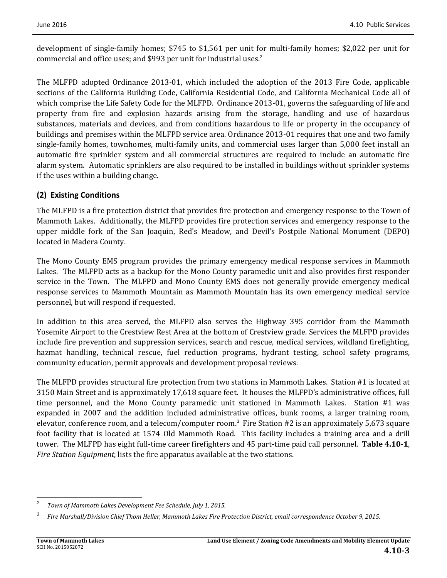development of single-family homes;  $$745$  to  $$1,561$  per unit for multi-family homes;  $$2,022$  per unit for commercial and office uses; and \$993 per unit for industrial uses. $2^2$ 

The MLFPD adopted Ordinance 2013-01, which included the adoption of the 2013 Fire Code, applicable sections of the California Building Code, California Residential Code, and California Mechanical Code all of which comprise the Life Safety Code for the MLFPD. Ordinance 2013-01, governs the safeguarding of life and property from fire and explosion hazards arising from the storage, handling and use of hazardous substances, materials and devices, and from conditions hazardous to life or property in the occupancy of buildings and premises within the MLFPD service area. Ordinance 2013-01 requires that one and two family single-family homes, townhomes, multi-family units, and commercial uses larger than 5,000 feet install an automatic fire sprinkler system and all commercial structures are required to include an automatic fire alarm system. Automatic sprinklers are also required to be installed in buildings without sprinkler systems if the uses within a building change.

## **(2) Existing Conditions**

The MLFPD is a fire protection district that provides fire protection and emergency response to the Town of Mammoth Lakes. Additionally, the MLFPD provides fire protection services and emergency response to the upper middle fork of the San Joaquin, Red's Meadow, and Devil's Postpile National Monument (DEPO) located in Madera County.

The Mono County EMS program provides the primary emergency medical response services in Mammoth Lakes. The MLFPD acts as a backup for the Mono County paramedic unit and also provides first responder service in the Town. The MLFPD and Mono County EMS does not generally provide emergency medical response services to Mammoth Mountain as Mammoth Mountain has its own emergency medical service personnel, but will respond if requested.

In addition to this area served, the MLFPD also serves the Highway 395 corridor from the Mammoth Yosemite Airport to the Crestview Rest Area at the bottom of Crestview grade. Services the MLFPD provides include fire prevention and suppression services, search and rescue, medical services, wildland firefighting, hazmat handling, technical rescue, fuel reduction programs, hydrant testing, school safety programs, community education, permit approvals and development proposal reviews.

The MLFPD provides structural fire protection from two stations in Mammoth Lakes. Station #1 is located at 3150 Main Street and is approximately 17,618 square feet. It houses the MLFPD's administrative offices, full time personnel, and the Mono County paramedic unit stationed in Mammoth Lakes. Station #1 was expanded in 2007 and the addition included administrative offices, bunk rooms, a larger training room, elevator, conference room, and a telecom/computer room.<sup>3</sup> Fire Station #2 is an approximately 5,673 square foot facility that is located at 1574 Old Mammoth Road. This facility includes a training area and a drill tower. The MLFPD has eight full-time career firefighters and 45 part-time paid call personnel. **Table 4.10-1**, *Fire Station Equipment*, lists the fire apparatus available at the two stations.

 *2 Town of Mammoth Lakes Development Fee Schedule, July 1, 2015.* 

*<sup>3</sup>* Fire Marshall/Division Chief Thom Heller, Mammoth Lakes Fire Protection District, email correspondence October 9, 2015.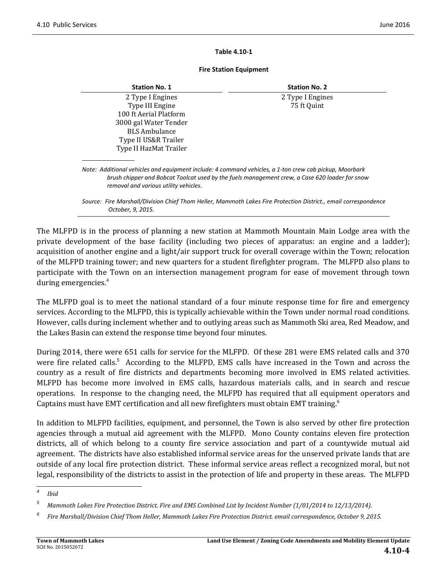#### **Table 4.10‐1**

#### **Fire Station Equipment**

| <b>Station No. 1</b>                                                                                                                            | <b>Station No. 2</b>                                                                                            |
|-------------------------------------------------------------------------------------------------------------------------------------------------|-----------------------------------------------------------------------------------------------------------------|
| 2 Type I Engines                                                                                                                                | 2 Type I Engines                                                                                                |
| Type III Engine                                                                                                                                 | 75 ft Quint                                                                                                     |
| 100 ft Aerial Platform                                                                                                                          |                                                                                                                 |
| 3000 gal Water Tender                                                                                                                           |                                                                                                                 |
| <b>BLS</b> Ambulance                                                                                                                            |                                                                                                                 |
| Type II US&R Trailer                                                                                                                            |                                                                                                                 |
| Type II HazMat Trailer                                                                                                                          |                                                                                                                 |
| Note: Additional vehicles and equipment include: 4 command vehicles, a 1-ton crew cab pickup, Moorbark<br>removal and various utility vehicles. | brush chipper and Bobcat Toolcat used by the fuels management crew, a Case 620 loader for snow                  |
| October, 9, 2015.                                                                                                                               | Source: Fire Marshall/Division Chief Thom Heller, Mammoth Lakes Fire Protection District., email correspondence |

The MLFPD is in the process of planning a new station at Mammoth Mountain Main Lodge area with the private development of the base facility (including two pieces of apparatus: an engine and a ladder); acquisition of another engine and a light/air support truck for overall coverage within the Town; relocation of the MLFPD training tower; and new quarters for a student firefighter program. The MLFPD also plans to participate with the Town on an intersection management program for ease of movement through town during emergencies.<sup>4</sup>

The MLFPD goal is to meet the national standard of a four minute response time for fire and emergency services. According to the MLFPD, this is typically achievable within the Town under normal road conditions. However, calls during inclement whether and to outlying areas such as Mammoth Ski area, Red Meadow, and the Lakes Basin can extend the response time beyond four minutes.

During 2014, there were 651 calls for service for the MLFPD. Of these 281 were EMS related calls and 370 were fire related calls.<sup>5</sup> According to the MLFPD, EMS calls have increased in the Town and across the country as a result of fire districts and departments becoming more involved in EMS related activities. MLFPD has become more involved in EMS calls, hazardous materials calls, and in search and rescue operations. In response to the changing need, the MLFPD has required that all equipment operators and Captains must have EMT certification and all new firefighters must obtain EMT training.<sup>6</sup>

In addition to MLFPD facilities, equipment, and personnel, the Town is also served by other fire protection agencies through a mutual aid agreement with the MLFPD. Mono County contains eleven fire protection districts, all of which belong to a county fire service association and part of a countywide mutual aid agreement. The districts have also established informal service areas for the unserved private lands that are outside of any local fire protection district. These informal service areas reflect a recognized moral, but not legal, responsibility of the districts to assist in the protection of life and property in these areas. The MLFPD

<sup>&</sup>lt;u> 1989 - Johann Stein, fransk politik (d. 1989)</u> *4 Ibid*

*<sup>5</sup>* Mammoth Lakes Fire Protection District. Fire and EMS Combined List by Incident Number (1/01/2014 to 12/13/2014).

*<sup>6</sup>* Fire Marshall/Division Chief Thom Heller, Mammoth Lakes Fire Protection District. email correspondence, October 9, 2015.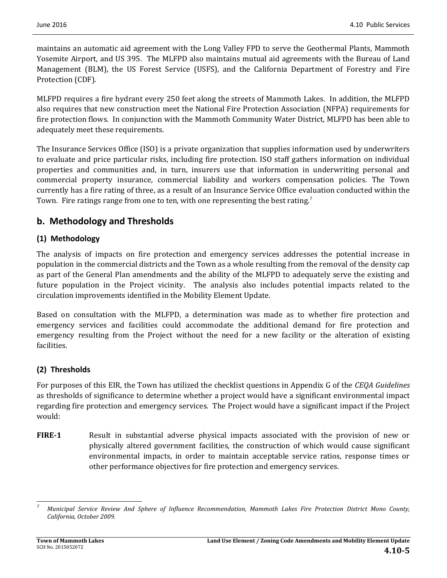maintains an automatic aid agreement with the Long Valley FPD to serve the Geothermal Plants, Mammoth Yosemite Airport, and US 395. The MLFPD also maintains mutual aid agreements with the Bureau of Land Management (BLM), the US Forest Service (USFS), and the California Department of Forestry and Fire Protection (CDF).

MLFPD requires a fire hydrant every 250 feet along the streets of Mammoth Lakes. In addition, the MLFPD also requires that new construction meet the National Fire Protection Association (NFPA) requirements for fire protection flows. In conjunction with the Mammoth Community Water District, MLFPD has been able to adequately meet these requirements.

The Insurance Services Office (ISO) is a private organization that supplies information used by underwriters to evaluate and price particular risks, including fire protection. ISO staff gathers information on individual properties and communities and, in turn, insurers use that information in underwriting personal and commercial property insurance, commercial liability and workers compensation policies. The Town currently has a fire rating of three, as a result of an Insurance Service Office evaluation conducted within the Town. Fire ratings range from one to ten, with one representing the best rating.<sup>7</sup>

## **b. Methodology and Thresholds**

## **(1) Methodology**

The analysis of impacts on fire protection and emergency services addresses the potential increase in population in the commercial districts and the Town as a whole resulting from the removal of the density cap as part of the General Plan amendments and the ability of the MLFPD to adequately serve the existing and future population in the Project vicinity. The analysis also includes potential impacts related to the circulation improvements identified in the Mobility Element Update.

Based on consultation with the MLFPD, a determination was made as to whether fire protection and emergency services and facilities could accommodate the additional demand for fire protection and emergency resulting from the Project without the need for a new facility or the alteration of existing facilities. 

## **(2) Thresholds**

For purposes of this EIR, the Town has utilized the checklist questions in Appendix G of the *CEQA Guidelines* as thresholds of significance to determine whether a project would have a significant environmental impact regarding fire protection and emergency services. The Project would have a significant impact if the Project would: 

**FIRE-1** Result in substantial adverse physical impacts associated with the provision of new or physically altered government facilities, the construction of which would cause significant environmental impacts, in order to maintain acceptable service ratios, response times or other performance objectives for fire protection and emergency services.

 *7* Municipal Service Review And Sphere of Influence Recommendation, Mammoth Lakes Fire Protection District Mono County, *California, October 2009.*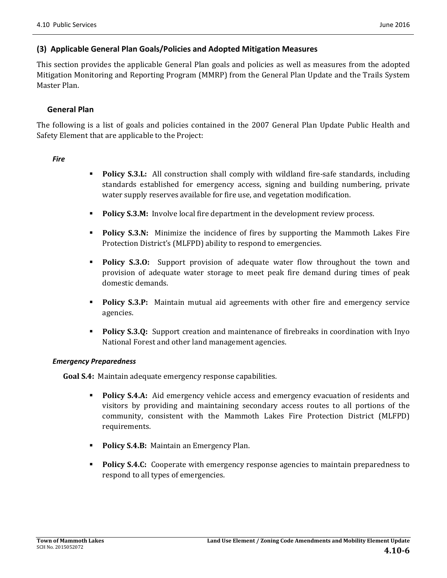### **(3) Applicable General Plan Goals/Policies and Adopted Mitigation Measures**

This section provides the applicable General Plan goals and policies as well as measures from the adopted Mitigation Monitoring and Reporting Program (MMRP) from the General Plan Update and the Trails System Master Plan.

### **General Plan**

The following is a list of goals and policies contained in the 2007 General Plan Update Public Health and Safety Element that are applicable to the Project:

#### *Fire*

- **Policy S.3.L:** All construction shall comply with wildland fire-safe standards, including standards established for emergency access, signing and building numbering, private water supply reserves available for fire use, and vegetation modification.
- **Policy S.3.M:** Involve local fire department in the development review process.
- **Policy S.3.N:** Minimize the incidence of fires by supporting the Mammoth Lakes Fire Protection District's (MLFPD) ability to respond to emergencies.
- **Policy S.3.0:** Support provision of adequate water flow throughout the town and provision of adequate water storage to meet peak fire demand during times of peak domestic demands.
- **Policy S.3.P:** Maintain mutual aid agreements with other fire and emergency service agencies.
- **Policy S.3.Q:** Support creation and maintenance of firebreaks in coordination with Inyo National Forest and other land management agencies.

#### *Emergency Preparedness*

**Goal S.4:** Maintain adequate emergency response capabilities.

- **Policy S.4.A:** Aid emergency vehicle access and emergency evacuation of residents and visitors by providing and maintaining secondary access routes to all portions of the community, consistent with the Mammoth Lakes Fire Protection District (MLFPD) requirements.
- **Policy S.4.B:** Maintain an Emergency Plan.
- **Policy S.4.C:** Cooperate with emergency response agencies to maintain preparedness to respond to all types of emergencies.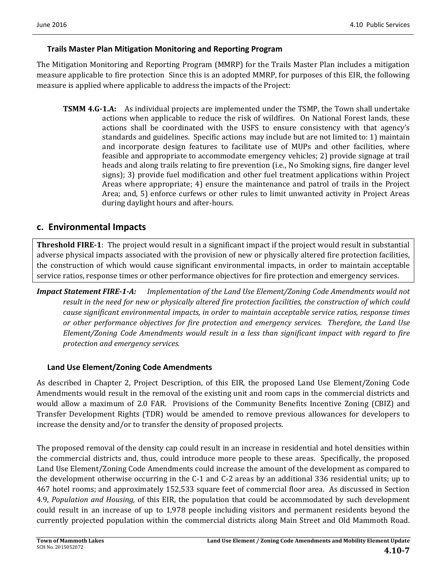## **Trails Master Plan Mitigation Monitoring and Reporting Program**

The Mitigation Monitoring and Reporting Program (MMRP) for the Trails Master Plan includes a mitigation measure applicable to fire protection Since this is an adopted MMRP, for purposes of this EIR, the following measure is applied where applicable to address the impacts of the Project:

**TSMM 4.G-1.A:** As individual projects are implemented under the TSMP, the Town shall undertake actions when applicable to reduce the risk of wildfires. On National Forest lands, these actions shall be coordinated with the USFS to ensure consistency with that agency's standards and guidelines. Specific actions may include but are not limited to: 1) maintain and incorporate design features to facilitate use of MUPs and other facilities, where feasible and appropriate to accommodate emergency vehicles; 2) provide signage at trail heads and along trails relating to fire prevention (i.e., No Smoking signs, fire danger level signs); 3) provide fuel modification and other fuel treatment applications within Project Areas where appropriate;  $4$ ) ensure the maintenance and patrol of trails in the Project Area; and, 5) enforce curfews or other rules to limit unwanted activity in Project Areas during daylight hours and after-hours.

## **c. Environmental Impacts**

**Threshold FIRE-1**: The project would result in a significant impact if the project would result in substantial adverse physical impacts associated with the provision of new or physically altered fire protection facilities, the construction of which would cause significant environmental impacts, in order to maintain acceptable service ratios, response times or other performance objectives for fire protection and emergency services.

*Impact Statement FIRE‐1‐A: Implementation of the Land Use Element/Zoning Code Amendments would not* result in the need for new or physically altered fire protection facilities, the construction of which could *cause significant environmental impacts, in order to maintain acceptable service ratios, response times or other performance objectives for fire protection and emergency services. Therefore, the Land Use Element/Zoning Code Amendments would result in a less than significant impact with regard to fire protection and emergency services.*

### **Land Use Element/Zoning Code Amendments**

As described in Chapter 2, Project Description, of this EIR, the proposed Land Use Element/Zoning Code Amendments would result in the removal of the existing unit and room caps in the commercial districts and would allow a maximum of 2.0 FAR. Provisions of the Community Benefits Incentive Zoning (CBIZ) and Transfer Development Rights (TDR) would be amended to remove previous allowances for developers to increase the density and/or to transfer the density of proposed projects.

The proposed removal of the density cap could result in an increase in residential and hotel densities within the commercial districts and, thus, could introduce more people to these areas. Specifically, the proposed Land Use Element/Zoning Code Amendments could increase the amount of the development as compared to the development otherwise occurring in the C-1 and C-2 areas by an additional 336 residential units; up to 467 hotel rooms; and approximately 152,533 square feet of commercial floor area. As discussed in Section 4.9, *Population* and *Housing*, of this EIR, the population that could be accommodated by such development could result in an increase of up to 1,978 people including visitors and permanent residents beyond the currently projected population within the commercial districts along Main Street and Old Mammoth Road.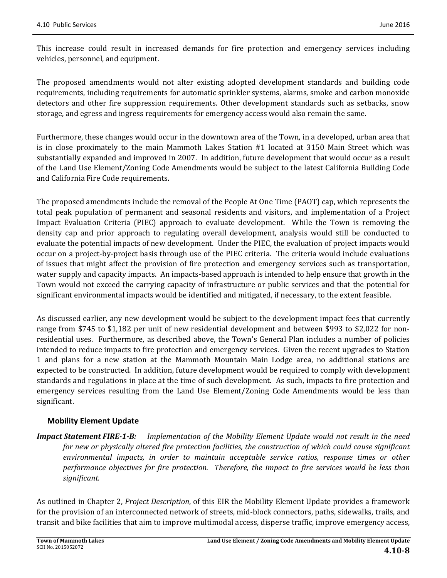This increase could result in increased demands for fire protection and emergency services including vehicles, personnel, and equipment.

The proposed amendments would not alter existing adopted development standards and building code requirements, including requirements for automatic sprinkler systems, alarms, smoke and carbon monoxide detectors and other fire suppression requirements. Other development standards such as setbacks, snow storage, and egress and ingress requirements for emergency access would also remain the same.

Furthermore, these changes would occur in the downtown area of the Town, in a developed, urban area that is in close proximately to the main Mammoth Lakes Station  $#1$  located at 3150 Main Street which was substantially expanded and improved in 2007. In addition, future development that would occur as a result of the Land Use Element/Zoning Code Amendments would be subject to the latest California Building Code and California Fire Code requirements.

The proposed amendments include the removal of the People At One Time (PAOT) cap, which represents the total peak population of permanent and seasonal residents and visitors, and implementation of a Project Impact Evaluation Criteria (PIEC) approach to evaluate development. While the Town is removing the density cap and prior approach to regulating overall development, analysis would still be conducted to evaluate the potential impacts of new development. Under the PIEC, the evaluation of project impacts would occur on a project-by-project basis through use of the PIEC criteria. The criteria would include evaluations of issues that might affect the provision of fire protection and emergency services such as transportation, water supply and capacity impacts. An impacts-based approach is intended to help ensure that growth in the Town would not exceed the carrying capacity of infrastructure or public services and that the potential for significant environmental impacts would be identified and mitigated, if necessary, to the extent feasible.

As discussed earlier, any new development would be subject to the development impact fees that currently range from \$745 to \$1,182 per unit of new residential development and between \$993 to \$2,022 for nonresidential uses. Furthermore, as described above, the Town's General Plan includes a number of policies intended to reduce impacts to fire protection and emergency services. Given the recent upgrades to Station 1 and plans for a new station at the Mammoth Mountain Main Lodge area, no additional stations are expected to be constructed. In addition, future development would be required to comply with development standards and regulations in place at the time of such development. As such, impacts to fire protection and emergency services resulting from the Land Use Element/Zoning Code Amendments would be less than significant. 

### **Mobility Element Update**

**Impact Statement FIRE-1-B:** Implementation of the Mobility Element Update would not result in the need *for new or physically altered fire protection facilities, the construction of which could cause significant environmental impacts, in order to maintain acceptable service ratios, response times or other performance objectives for fire protection. Therefore, the impact to fire services would be less than significant.*

As outlined in Chapter 2, *Project Description*, of this EIR the Mobility Element Update provides a framework for the provision of an interconnected network of streets, mid-block connectors, paths, sidewalks, trails, and transit and bike facilities that aim to improve multimodal access, disperse traffic, improve emergency access,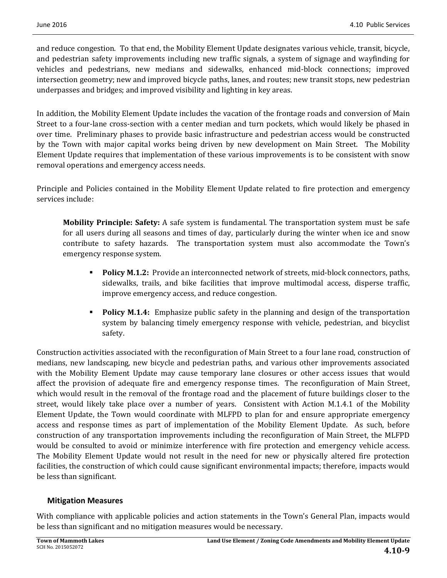and reduce congestion. To that end, the Mobility Element Update designates various vehicle, transit, bicycle, and pedestrian safety improvements including new traffic signals, a system of signage and wayfinding for vehicles and pedestrians, new medians and sidewalks, enhanced mid-block connections; improved intersection geometry; new and improved bicycle paths, lanes, and routes; new transit stops, new pedestrian underpasses and bridges; and improved visibility and lighting in key areas.

In addition, the Mobility Element Update includes the vacation of the frontage roads and conversion of Main Street to a four-lane cross-section with a center median and turn pockets, which would likely be phased in over time. Preliminary phases to provide basic infrastructure and pedestrian access would be constructed by the Town with major capital works being driven by new development on Main Street. The Mobility Element Update requires that implementation of these various improvements is to be consistent with snow removal operations and emergency access needs.

Principle and Policies contained in the Mobility Element Update related to fire protection and emergency services include:

**Mobility Principle: Safety:** A safe system is fundamental. The transportation system must be safe for all users during all seasons and times of day, particularly during the winter when ice and snow contribute to safety hazards. The transportation system must also accommodate the Town's emergency response system.

- **Policy M.1.2:** Provide an interconnected network of streets, mid-block connectors, paths, sidewalks, trails, and bike facilities that improve multimodal access, disperse traffic, improve emergency access, and reduce congestion.
- **Policy M.1.4:** Emphasize public safety in the planning and design of the transportation system by balancing timely emergency response with vehicle, pedestrian, and bicyclist safety.

Construction activities associated with the reconfiguration of Main Street to a four lane road, construction of medians, new landscaping, new bicycle and pedestrian paths, and various other improvements associated with the Mobility Element Update may cause temporary lane closures or other access issues that would affect the provision of adequate fire and emergency response times. The reconfiguration of Main Street, which would result in the removal of the frontage road and the placement of future buildings closer to the street, would likely take place over a number of years. Consistent with Action M.1.4.1 of the Mobility Element Update, the Town would coordinate with MLFPD to plan for and ensure appropriate emergency access and response times as part of implementation of the Mobility Element Update. As such, before construction of any transportation improvements including the reconfiguration of Main Street, the MLFPD would be consulted to avoid or minimize interference with fire protection and emergency vehicle access. The Mobility Element Update would not result in the need for new or physically altered fire protection facilities, the construction of which could cause significant environmental impacts; therefore, impacts would be less than significant.

### **Mitigation Measures**

With compliance with applicable policies and action statements in the Town's General Plan, impacts would be less than significant and no mitigation measures would be necessary.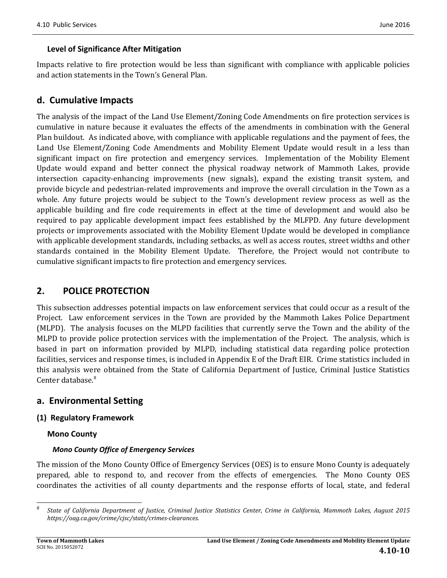### **Level of Significance After Mitigation**

Impacts relative to fire protection would be less than significant with compliance with applicable policies and action statements in the Town's General Plan.

## **d. Cumulative Impacts**

The analysis of the impact of the Land Use Element/Zoning Code Amendments on fire protection services is cumulative in nature because it evaluates the effects of the amendments in combination with the General Plan buildout. As indicated above, with compliance with applicable regulations and the payment of fees, the Land Use Element/Zoning Code Amendments and Mobility Element Update would result in a less than significant impact on fire protection and emergency services. Implementation of the Mobility Element Update would expand and better connect the physical roadway network of Mammoth Lakes, provide intersection capacity-enhancing improvements (new signals), expand the existing transit system, and provide bicycle and pedestrian-related improvements and improve the overall circulation in the Town as a whole. Any future projects would be subject to the Town's development review process as well as the applicable building and fire code requirements in effect at the time of development and would also be required to pay applicable development impact fees established by the MLFPD. Any future development projects or improvements associated with the Mobility Element Update would be developed in compliance with applicable development standards, including setbacks, as well as access routes, street widths and other standards contained in the Mobility Element Update. Therefore, the Project would not contribute to cumulative significant impacts to fire protection and emergency services.

## **2. POLICE PROTECTION**

This subsection addresses potential impacts on law enforcement services that could occur as a result of the Project. Law enforcement services in the Town are provided by the Mammoth Lakes Police Department (MLPD). The analysis focuses on the MLPD facilities that currently serve the Town and the ability of the MLPD to provide police protection services with the implementation of the Project. The analysis, which is based in part on information provided by MLPD, including statistical data regarding police protection facilities, services and response times, is included in Appendix E of the Draft EIR. Crime statistics included in this analysis were obtained from the State of California Department of Justice, Criminal Justice Statistics Center database. $8<sup>8</sup>$ 

## **a. Environmental Setting**

<u> 1989 - Johann Stein, fransk politik (d. 1989)</u>

### **(1) Regulatory Framework**

### **Mono County**

### *Mono County Office of Emergency Services*

The mission of the Mono County Office of Emergency Services (OES) is to ensure Mono County is adequately prepared, able to respond to, and recover from the effects of emergencies. The Mono County OES coordinates the activities of all county departments and the response efforts of local, state, and federal

*<sup>8</sup>* State of California Department of Justice, Criminal Justice Statistics Center, Crime in California, Mammoth Lakes, August 2015 *https://oag.ca.gov/crime/cjsc/stats/crimes‐clearances.*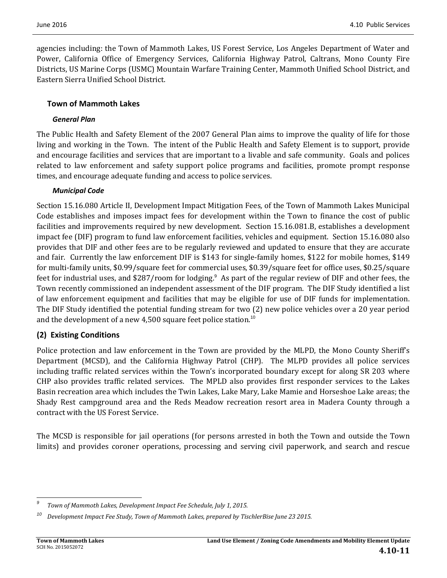agencies including: the Town of Mammoth Lakes, US Forest Service, Los Angeles Department of Water and Power, California Office of Emergency Services, California Highway Patrol, Caltrans, Mono County Fire Districts, US Marine Corps (USMC) Mountain Warfare Training Center, Mammoth Unified School District, and Eastern Sierra Unified School District. 

### **Town of Mammoth Lakes**

### *General Plan*

The Public Health and Safety Element of the 2007 General Plan aims to improve the quality of life for those living and working in the Town. The intent of the Public Health and Safety Element is to support, provide and encourage facilities and services that are important to a livable and safe community. Goals and polices related to law enforcement and safety support police programs and facilities, promote prompt response times, and encourage adequate funding and access to police services.

### *Municipal Code*

Section 15.16.080 Article II, Development Impact Mitigation Fees, of the Town of Mammoth Lakes Municipal Code establishes and imposes impact fees for development within the Town to finance the cost of public facilities and improvements required by new development. Section 15.16.081.B, establishes a development impact fee (DIF) program to fund law enforcement facilities, vehicles and equipment. Section 15.16.080 also provides that DIF and other fees are to be regularly reviewed and updated to ensure that they are accurate and fair. Currently the law enforcement DIF is \$143 for single-family homes, \$122 for mobile homes, \$149 for multi-family units, \$0.99/square feet for commercial uses, \$0.39/square feet for office uses, \$0.25/square feet for industrial uses, and \$287/room for lodging.<sup>9</sup> As part of the regular review of DIF and other fees, the Town recently commissioned an independent assessment of the DIF program. The DIF Study identified a list of law enforcement equipment and facilities that may be eligible for use of DIF funds for implementation. The DIF Study identified the potential funding stream for two (2) new police vehicles over a 20 year period and the development of a new 4,500 square feet police station.<sup>10</sup>

## **(2) Existing Conditions**

Police protection and law enforcement in the Town are provided by the MLPD, the Mono County Sheriff's Department (MCSD), and the California Highway Patrol (CHP). The MLPD provides all police services including traffic related services within the Town's incorporated boundary except for along SR 203 where CHP also provides traffic related services. The MPLD also provides first responder services to the Lakes Basin recreation area which includes the Twin Lakes, Lake Mary, Lake Mamie and Horseshoe Lake areas; the Shady Rest campground area and the Reds Meadow recreation resort area in Madera County through a contract with the US Forest Service.

The MCSD is responsible for jail operations (for persons arrested in both the Town and outside the Town limits) and provides coroner operations, processing and serving civil paperwork, and search and rescue

 *9 Town of Mammoth Lakes, Development Impact Fee Schedule, July 1, 2015.*

*<sup>10</sup> Development Impact Fee Study, Town of Mammoth Lakes, prepared by TischlerBise June 23 2015.*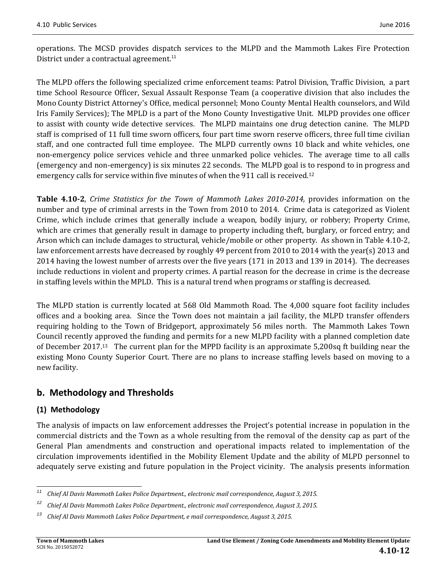operations. The MCSD provides dispatch services to the MLPD and the Mammoth Lakes Fire Protection District under a contractual agreement.<sup>11</sup>

The MLPD offers the following specialized crime enforcement teams: Patrol Division, Traffic Division, a part time School Resource Officer, Sexual Assault Response Team (a cooperative division that also includes the Mono County District Attorney's Office, medical personnel; Mono County Mental Health counselors, and Wild Iris Family Services); The MPLD is a part of the Mono County Investigative Unit. MLPD provides one officer to assist with county wide detective services. The MLPD maintains one drug detection canine. The MLPD staff is comprised of 11 full time sworn officers, four part time sworn reserve officers, three full time civilian staff, and one contracted full time employee. The MLPD currently owns 10 black and white vehicles, one non-emergency police services vehicle and three unmarked police vehicles. The average time to all calls (emergency and non-emergency) is six minutes 22 seconds. The MLPD goal is to respond to in progress and emergency calls for service within five minutes of when the 911 call is received.<sup>12</sup>

**Table 4.10‐2**, *Crime Statistics for the Town of Mammoth Lakes 2010‐2014,* provides information on the number and type of criminal arrests in the Town from 2010 to 2014. Crime data is categorized as Violent Crime, which include crimes that generally include a weapon, bodily injury, or robbery; Property Crime, which are crimes that generally result in damage to property including theft, burglary, or forced entry; and Arson which can include damages to structural, vehicle/mobile or other property. As shown in Table 4.10-2, law enforcement arrests have decreased by roughly 49 percent from 2010 to 2014 with the year(s) 2013 and 2014 having the lowest number of arrests over the five years (171 in 2013 and 139 in 2014). The decreases include reductions in violent and property crimes. A partial reason for the decrease in crime is the decrease in staffing levels within the MPLD. This is a natural trend when programs or staffing is decreased.

The MLPD station is currently located at 568 Old Mammoth Road. The 4,000 square foot facility includes offices and a booking area. Since the Town does not maintain a jail facility, the MLPD transfer offenders requiring holding to the Town of Bridgeport, approximately 56 miles north. The Mammoth Lakes Town Council recently approved the funding and permits for a new MLPD facility with a planned completion date of December 2017.<sup>13</sup> The current plan for the MPPD facility is an approximate 5,200sq ft building near the existing Mono County Superior Court. There are no plans to increase staffing levels based on moving to a new facility.

## **b. Methodology and Thresholds**

## **(1) Methodology**

The analysis of impacts on law enforcement addresses the Project's potential increase in population in the commercial districts and the Town as a whole resulting from the removal of the density cap as part of the General Plan amendments and construction and operational impacts related to implementation of the circulation improvements identified in the Mobility Element Update and the ability of MLPD personnel to adequately serve existing and future population in the Project vicinity. The analysis presents information

<sup>&</sup>lt;u> 1989 - Johann Stein, fransk politik (d. 1989)</u> *<sup>11</sup> Chief Al Davis Mammoth Lakes Police Department., electronic mail correspondence, August 3, 2015.*

*<sup>12</sup> Chief Al Davis Mammoth Lakes Police Department., electronic mail correspondence, August 3, 2015.*

*<sup>13</sup> Chief Al Davis Mammoth Lakes Police Department, e mail correspondence, August 3, 2015.*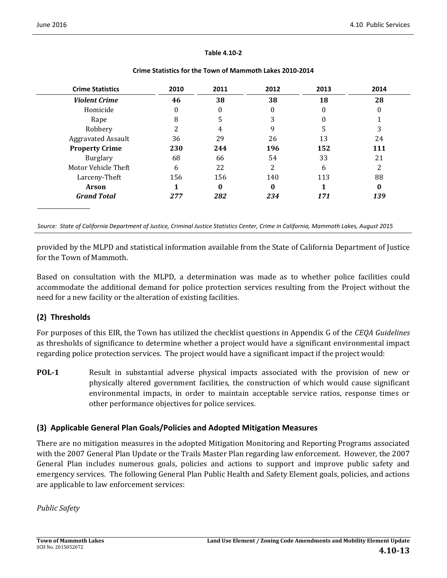#### **Table 4.10‐2**

| <b>Crime Statistics</b>   | 2010 | 2011     | 2012 | 2013 | 2014 |
|---------------------------|------|----------|------|------|------|
| <b>Violent Crime</b>      | 46   | 38       | 38   | 18   | 28   |
| Homicide                  | 0    | $\Omega$ | 0    | 0    | 0    |
| Rape                      | 8    | 5        | 3    | 0    |      |
| Robbery                   |      | 4        |      | 5    | 3    |
| <b>Aggravated Assault</b> | 36   | 29       | 26   | 13   | 24   |
| <b>Property Crime</b>     | 230  | 244      | 196  | 152  | 111  |
| Burglary                  | 68   | 66       | 54   | 33   | 21   |
| Motor Vehicle Theft       | 6    | 22       | 2    | 6    |      |
| Larceny-Theft             | 156  | 156      | 140  | 113  | 88   |
| <b>Arson</b>              |      | $\bf{0}$ | 0    |      | 0    |
| <b>Grand Total</b>        | 277  | 282      | 234  | 171  | 139  |

#### **Crime Statistics for the Town of Mammoth Lakes 2010‐2014**

Source: State of California Department of Justice, Criminal Justice Statistics Center, Crime in California, Mammoth Lakes, August 2015

provided by the MLPD and statistical information available from the State of California Department of Justice for the Town of Mammoth.

Based on consultation with the MLPD, a determination was made as to whether police facilities could accommodate the additional demand for police protection services resulting from the Project without the need for a new facility or the alteration of existing facilities.

## **(2) Thresholds**

For purposes of this EIR, the Town has utilized the checklist questions in Appendix G of the *CEQA Guidelines* as thresholds of significance to determine whether a project would have a significant environmental impact regarding police protection services. The project would have a significant impact if the project would:

**POL-1** Result in substantial adverse physical impacts associated with the provision of new or physically altered government facilities, the construction of which would cause significant environmental impacts, in order to maintain acceptable service ratios, response times or other performance objectives for police services.

### **(3) Applicable General Plan Goals/Policies and Adopted Mitigation Measures**

There are no mitigation measures in the adopted Mitigation Monitoring and Reporting Programs associated with the 2007 General Plan Update or the Trails Master Plan regarding law enforcement. However, the 2007 General Plan includes numerous goals, policies and actions to support and improve public safety and emergency services. The following General Plan Public Health and Safety Element goals, policies, and actions are applicable to law enforcement services:

*Public Safety*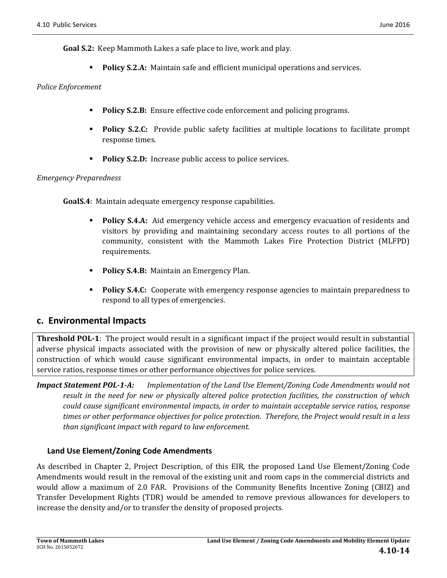**Goal S.2:** Keep Mammoth Lakes a safe place to live, work and play.

**Policy S.2.A:** Maintain safe and efficient municipal operations and services.

#### *Police Enforcement*

- **Policy S.2.B:** Ensure effective code enforcement and policing programs.
- **Policy S.2.C:** Provide public safety facilities at multiple locations to facilitate prompt response times.
- **Policy S.2.D:** Increase public access to police services.

#### *Emergency Preparedness*

**GoalS.4**: Maintain adequate emergency response capabilities.

- **Policy S.4.A:** Aid emergency vehicle access and emergency evacuation of residents and visitors by providing and maintaining secondary access routes to all portions of the community, consistent with the Mammoth Lakes Fire Protection District (MLFPD) requirements.
- **Policy S.4.B:** Maintain an Emergency Plan.
- **Policy S.4.C:** Cooperate with emergency response agencies to maintain preparedness to respond to all types of emergencies.

## **c. Environmental Impacts**

**Threshold POL-1:** The project would result in a significant impact if the project would result in substantial adverse physical impacts associated with the provision of new or physically altered police facilities, the construction of which would cause significant environmental impacts, in order to maintain acceptable service ratios, response times or other performance objectives for police services.

*Impact Statement POL‐1‐A: Implementation of the Land Use Element/Zoning Code Amendments would not result in the need for new or physically altered police protection facilities, the construction of which could cause significant environmental impacts, in order to maintain acceptable service ratios, response* times or other performance objectives for police protection. Therefore, the Project would result in a less *than significant impact with regard to law enforcement.*

### **Land Use Element/Zoning Code Amendments**

As described in Chapter 2, Project Description, of this EIR, the proposed Land Use Element/Zoning Code Amendments would result in the removal of the existing unit and room caps in the commercial districts and would allow a maximum of 2.0 FAR. Provisions of the Community Benefits Incentive Zoning (CBIZ) and Transfer Development Rights (TDR) would be amended to remove previous allowances for developers to increase the density and/or to transfer the density of proposed projects.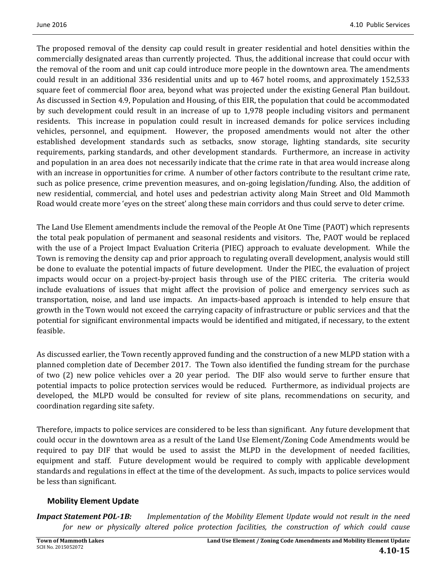The proposed removal of the density cap could result in greater residential and hotel densities within the commercially designated areas than currently projected. Thus, the additional increase that could occur with the removal of the room and unit cap could introduce more people in the downtown area. The amendments could result in an additional 336 residential units and up to 467 hotel rooms, and approximately 152,533 square feet of commercial floor area, beyond what was projected under the existing General Plan buildout. As discussed in Section 4.9, Population and Housing, of this EIR, the population that could be accommodated by such development could result in an increase of up to 1,978 people including visitors and permanent residents. This increase in population could result in increased demands for police services including vehicles, personnel, and equipment. However, the proposed amendments would not alter the other established development standards such as setbacks, snow storage, lighting standards, site security requirements, parking standards, and other development standards. Furthermore, an increase in activity and population in an area does not necessarily indicate that the crime rate in that area would increase along with an increase in opportunities for crime. A number of other factors contribute to the resultant crime rate, such as police presence, crime prevention measures, and on-going legislation/funding. Also, the addition of new residential, commercial, and hotel uses and pedestrian activity along Main Street and Old Mammoth Road would create more 'eyes on the street' along these main corridors and thus could serve to deter crime.

The Land Use Element amendments include the removal of the People At One Time (PAOT) which represents the total peak population of permanent and seasonal residents and visitors. The, PAOT would be replaced with the use of a Project Impact Evaluation Criteria (PIEC) approach to evaluate development. While the Town is removing the density cap and prior approach to regulating overall development, analysis would still be done to evaluate the potential impacts of future development. Under the PIEC, the evaluation of project impacts would occur on a project-by-project basis through use of the PIEC criteria. The criteria would include evaluations of issues that might affect the provision of police and emergency services such as transportation, noise, and land use impacts. An impacts-based approach is intended to help ensure that growth in the Town would not exceed the carrying capacity of infrastructure or public services and that the potential for significant environmental impacts would be identified and mitigated, if necessary, to the extent feasible. 

As discussed earlier, the Town recently approved funding and the construction of a new MLPD station with a planned completion date of December 2017. The Town also identified the funding stream for the purchase of two  $(2)$  new police vehicles over a 20 year period. The DIF also would serve to further ensure that potential impacts to police protection services would be reduced. Furthermore, as individual projects are developed, the MLPD would be consulted for review of site plans, recommendations on security, and coordination regarding site safety.

Therefore, impacts to police services are considered to be less than significant. Any future development that could occur in the downtown area as a result of the Land Use Element/Zoning Code Amendments would be required to pay DIF that would be used to assist the MLPD in the development of needed facilities, equipment and staff. Future development would be required to comply with applicable development standards and regulations in effect at the time of the development. As such, impacts to police services would be less than significant.

## **Mobility Element Update**

*Impact Statement POL‐1B: Implementation of the Mobility Element Update would not result in the need for new or physically altered police protection facilities, the construction of which could cause*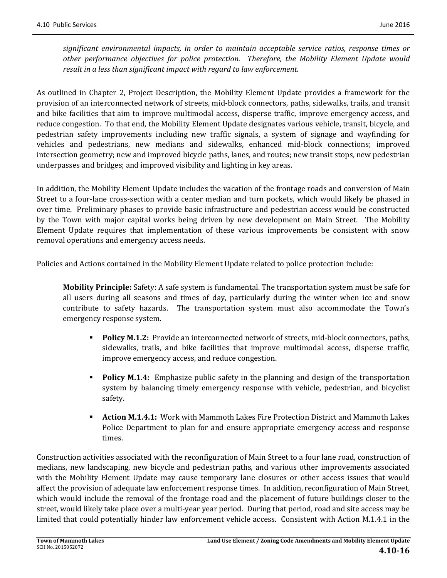*significant environmental impacts, in order to maintain acceptable service ratios, response times or other performance objectives for police protection. Therefore, the Mobility Element Update would result in a less than significant impact with regard to law enforcement.* 

As outlined in Chapter 2, Project Description, the Mobility Element Update provides a framework for the provision of an interconnected network of streets, mid-block connectors, paths, sidewalks, trails, and transit and bike facilities that aim to improve multimodal access, disperse traffic, improve emergency access, and reduce congestion. To that end, the Mobility Element Update designates various vehicle, transit, bicycle, and pedestrian safety improvements including new traffic signals, a system of signage and wayfinding for vehicles and pedestrians, new medians and sidewalks, enhanced mid-block connections; improved intersection geometry; new and improved bicycle paths, lanes, and routes; new transit stops, new pedestrian underpasses and bridges; and improved visibility and lighting in key areas.

In addition, the Mobility Element Update includes the vacation of the frontage roads and conversion of Main Street to a four-lane cross-section with a center median and turn pockets, which would likely be phased in over time. Preliminary phases to provide basic infrastructure and pedestrian access would be constructed by the Town with major capital works being driven by new development on Main Street. The Mobility Element Update requires that implementation of these various improvements be consistent with snow removal operations and emergency access needs.

Policies and Actions contained in the Mobility Element Update related to police protection include:

**Mobility Principle:** Safety: A safe system is fundamental. The transportation system must be safe for all users during all seasons and times of day, particularly during the winter when ice and snow contribute to safety hazards. The transportation system must also accommodate the Town's emergency response system.

- **Policy M.1.2:** Provide an interconnected network of streets, mid-block connectors, paths, sidewalks, trails, and bike facilities that improve multimodal access, disperse traffic, improve emergency access, and reduce congestion.
- **Policy M.1.4:** Emphasize public safety in the planning and design of the transportation system by balancing timely emergency response with vehicle, pedestrian, and bicyclist safety.
- **Action M.1.4.1:** Work with Mammoth Lakes Fire Protection District and Mammoth Lakes Police Department to plan for and ensure appropriate emergency access and response times.

Construction activities associated with the reconfiguration of Main Street to a four lane road, construction of medians, new landscaping, new bicycle and pedestrian paths, and various other improvements associated with the Mobility Element Update may cause temporary lane closures or other access issues that would affect the provision of adequate law enforcement response times. In addition, reconfiguration of Main Street, which would include the removal of the frontage road and the placement of future buildings closer to the street, would likely take place over a multi-year year period. During that period, road and site access may be limited that could potentially hinder law enforcement vehicle access. Consistent with Action M.1.4.1 in the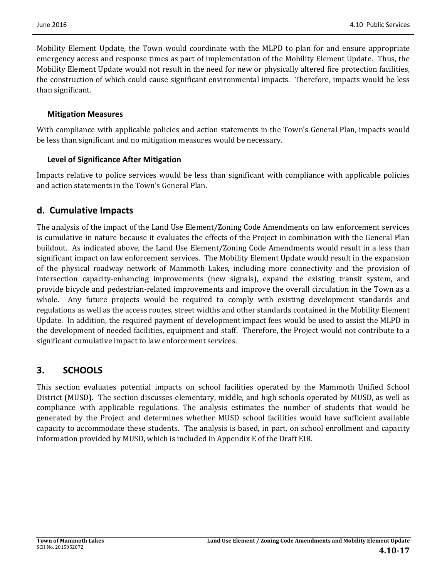Mobility Element Update, the Town would coordinate with the MLPD to plan for and ensure appropriate emergency access and response times as part of implementation of the Mobility Element Update. Thus, the Mobility Element Update would not result in the need for new or physically altered fire protection facilities, the construction of which could cause significant environmental impacts. Therefore, impacts would be less than significant.

### **Mitigation Measures**

With compliance with applicable policies and action statements in the Town's General Plan, impacts would be less than significant and no mitigation measures would be necessary.

### **Level of Significance After Mitigation**

Impacts relative to police services would be less than significant with compliance with applicable policies and action statements in the Town's General Plan.

## **d. Cumulative Impacts**

The analysis of the impact of the Land Use Element/Zoning Code Amendments on law enforcement services is cumulative in nature because it evaluates the effects of the Project in combination with the General Plan buildout. As indicated above, the Land Use Element/Zoning Code Amendments would result in a less than significant impact on law enforcement services. The Mobility Element Update would result in the expansion of the physical roadway network of Mammoth Lakes, including more connectivity and the provision of intersection capacity-enhancing improvements (new signals), expand the existing transit system, and provide bicycle and pedestrian-related improvements and improve the overall circulation in the Town as a whole. Any future projects would be required to comply with existing development standards and regulations as well as the access routes, street widths and other standards contained in the Mobility Element Update. In addition, the required payment of development impact fees would be used to assist the MLPD in the development of needed facilities, equipment and staff. Therefore, the Project would not contribute to a significant cumulative impact to law enforcement services.

## **3. SCHOOLS**

This section evaluates potential impacts on school facilities operated by the Mammoth Unified School District (MUSD). The section discusses elementary, middle, and high schools operated by MUSD, as well as compliance with applicable regulations. The analysis estimates the number of students that would be generated by the Project and determines whether MUSD school facilities would have sufficient available capacity to accommodate these students. The analysis is based, in part, on school enrollment and capacity information provided by MUSD, which is included in Appendix E of the Draft EIR.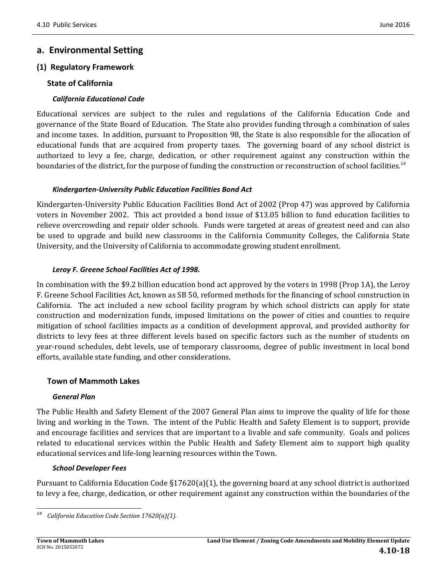## **a. Environmental Setting**

### **(1) Regulatory Framework**

### **State of California**

### *California Educational Code*

Educational services are subject to the rules and regulations of the California Education Code and governance of the State Board of Education. The State also provides funding through a combination of sales and income taxes. In addition, pursuant to Proposition 98, the State is also responsible for the allocation of educational funds that are acquired from property taxes. The governing board of any school district is authorized to levy a fee, charge, dedication, or other requirement against any construction within the boundaries of the district, for the purpose of funding the construction or reconstruction of school facilities.<sup>14</sup>

### *Kindergarten‐University Public Education Facilities Bond Act*

Kindergarten-University Public Education Facilities Bond Act of 2002 (Prop 47) was approved by California voters in November 2002. This act provided a bond issue of \$13.05 billion to fund education facilities to relieve overcrowding and repair older schools. Funds were targeted at areas of greatest need and can also be used to upgrade and build new classrooms in the California Community Colleges, the California State University, and the University of California to accommodate growing student enrollment.

#### *Leroy F. Greene School Facilities Act of 1998.*

In combination with the \$9.2 billion education bond act approved by the voters in 1998 (Prop 1A), the Leroy F. Greene School Facilities Act, known as SB 50, reformed methods for the financing of school construction in California. The act included a new school facility program by which school districts can apply for state construction and modernization funds, imposed limitations on the power of cities and counties to require mitigation of school facilities impacts as a condition of development approval, and provided authority for districts to levy fees at three different levels based on specific factors such as the number of students on year-round schedules, debt levels, use of temporary classrooms, degree of public investment in local bond efforts, available state funding, and other considerations.

### **Town of Mammoth Lakes**

### *General Plan*

The Public Health and Safety Element of the 2007 General Plan aims to improve the quality of life for those living and working in the Town. The intent of the Public Health and Safety Element is to support, provide and encourage facilities and services that are important to a livable and safe community. Goals and polices related to educational services within the Public Health and Safety Element aim to support high quality educational services and life-long learning resources within the Town.

### *School Developer Fees*

 

Pursuant to California Education Code  $\S17620(a)(1)$ , the governing board at any school district is authorized to levy a fee, charge, dedication, or other requirement against any construction within the boundaries of the

*<sup>14</sup> California Education Code Section 17620(a)(1).*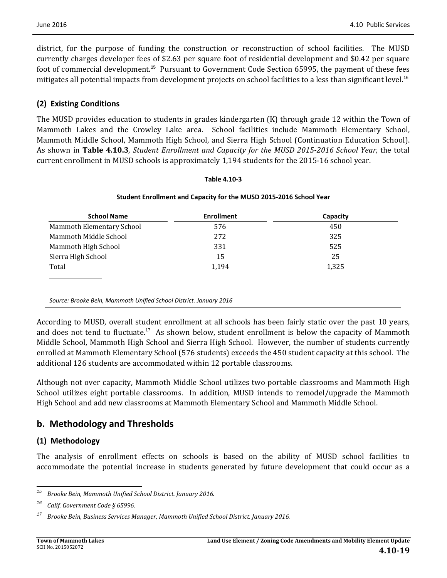district, for the purpose of funding the construction or reconstruction of school facilities. The MUSD currently charges developer fees of \$2.63 per square foot of residential development and \$0.42 per square foot of commercial development.<sup>15</sup> Pursuant to Government Code Section 65995, the payment of these fees mitigates all potential impacts from development projects on school facilities to a less than significant level.<sup>16</sup>

### **(2) Existing Conditions**

The MUSD provides education to students in grades kindergarten (K) through grade 12 within the Town of Mammoth Lakes and the Crowley Lake area. School facilities include Mammoth Elementary School, Mammoth Middle School, Mammoth High School, and Sierra High School (Continuation Education School). As shown in **Table 4.10.3**, *Student Enrollment and Capacity for the MUSD 2015‐2016 School Year,* the total current enrollment in MUSD schools is approximately 1,194 students for the 2015-16 school year.

#### **Table 4.10‐3**

#### **Student Enrollment and Capacity for the MUSD 2015‐2016 School Year**

| <b>School Name</b>        | <b>Enrollment</b> | Capacity |
|---------------------------|-------------------|----------|
| Mammoth Elementary School | 576               | 450      |
| Mammoth Middle School     | 272               | 325      |
| Mammoth High School       | 331               | 525      |
| Sierra High School        | 15                | 25       |
| Total                     | 1.194             | 1,325    |
|                           |                   |          |
|                           |                   |          |

*Source: Brooke Bein, Mammoth Unified School District. January 2016*

According to MUSD, overall student enrollment at all schools has been fairly static over the past 10 years, and does not tend to fluctuate.<sup>17</sup> As shown below, student enrollment is below the capacity of Mammoth Middle School, Mammoth High School and Sierra High School. However, the number of students currently enrolled at Mammoth Elementary School (576 students) exceeds the 450 student capacity at this school. The additional 126 students are accommodated within 12 portable classrooms.

Although not over capacity, Mammoth Middle School utilizes two portable classrooms and Mammoth High School utilizes eight portable classrooms. In addition, MUSD intends to remodel/upgrade the Mammoth High School and add new classrooms at Mammoth Elementary School and Mammoth Middle School.

## **b. Methodology and Thresholds**

## **(1) Methodology**

The analysis of enrollment effects on schools is based on the ability of MUSD school facilities to accommodate the potential increase in students generated by future development that could occur as a

<sup>&</sup>lt;u> 1989 - Johann Stein, fransk politik (d. 1989)</u> *<sup>15</sup> Brooke Bein, Mammoth Unified School District. January 2016.*

*<sup>16</sup> Calif. Government Code § 65996.*

*<sup>17</sup> Brooke Bein, Business Services Manager, Mammoth Unified School District. January 2016.*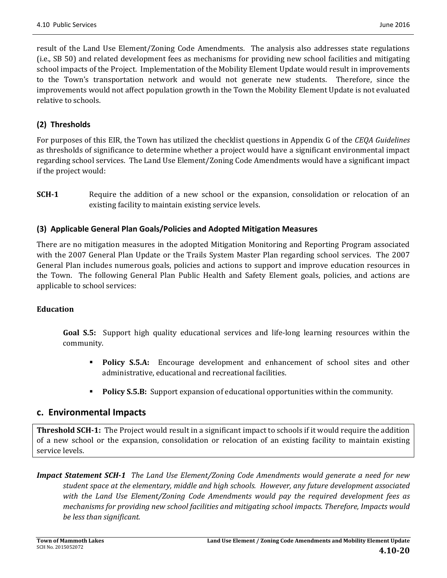result of the Land Use Element/Zoning Code Amendments. The analysis also addresses state regulations (i.e., SB 50) and related development fees as mechanisms for providing new school facilities and mitigating school impacts of the Project. Implementation of the Mobility Element Update would result in improvements to the Town's transportation network and would not generate new students. Therefore, since the improvements would not affect population growth in the Town the Mobility Element Update is not evaluated relative to schools.

## **(2) Thresholds**

For purposes of this EIR, the Town has utilized the checklist questions in Appendix G of the *CEQA Guidelines* as thresholds of significance to determine whether a project would have a significant environmental impact regarding school services. The Land Use Element/Zoning Code Amendments would have a significant impact if the project would:

**SCH-1** Require the addition of a new school or the expansion, consolidation or relocation of an existing facility to maintain existing service levels.

## **(3) Applicable General Plan Goals/Policies and Adopted Mitigation Measures**

There are no mitigation measures in the adopted Mitigation Monitoring and Reporting Program associated with the 2007 General Plan Update or the Trails System Master Plan regarding school services. The 2007 General Plan includes numerous goals, policies and actions to support and improve education resources in the Town. The following General Plan Public Health and Safety Element goals, policies, and actions are applicable to school services:

### **Education**

**Goal S.5:** Support high quality educational services and life-long learning resources within the community. 

- **Policy S.5.A:** Encourage development and enhancement of school sites and other administrative, educational and recreational facilities.
- **Policy S.5.B:** Support expansion of educational opportunities within the community.

## **c. Environmental Impacts**

**Threshold SCH-1:** The Project would result in a significant impact to schools if it would require the addition of a new school or the expansion, consolidation or relocation of an existing facility to maintain existing service levels.

*Impact Statement SCH‐1 The Land Use Element/Zoning Code Amendments would generate a need for new student space at the elementary, middle and high schools. However, any future development associated with the Land Use Element/Zoning Code Amendments would pay the required development fees as mechanisms for providing new school facilities and mitigating school impacts. Therefore, Impacts would be less than significant.*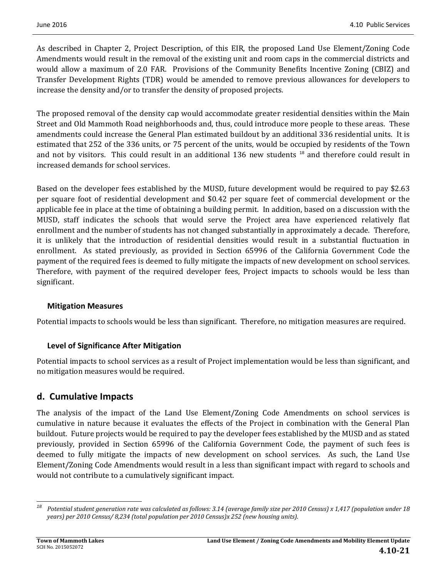As described in Chapter 2, Project Description, of this EIR, the proposed Land Use Element/Zoning Code Amendments would result in the removal of the existing unit and room caps in the commercial districts and would allow a maximum of 2.0 FAR. Provisions of the Community Benefits Incentive Zoning (CBIZ) and Transfer Development Rights (TDR) would be amended to remove previous allowances for developers to increase the density and/or to transfer the density of proposed projects.

The proposed removal of the density cap would accommodate greater residential densities within the Main Street and Old Mammoth Road neighborhoods and, thus, could introduce more people to these areas. These amendments could increase the General Plan estimated buildout by an additional 336 residential units. It is estimated that 252 of the 336 units, or 75 percent of the units, would be occupied by residents of the Town and not by visitors. This could result in an additional 136 new students <sup>18</sup> and therefore could result in increased demands for school services.

Based on the developer fees established by the MUSD, future development would be required to pay \$2.63 per square foot of residential development and \$0.42 per square feet of commercial development or the applicable fee in place at the time of obtaining a building permit. In addition, based on a discussion with the MUSD, staff indicates the schools that would serve the Project area have experienced relatively flat enrollment and the number of students has not changed substantially in approximately a decade. Therefore, it is unlikely that the introduction of residential densities would result in a substantial fluctuation in enrollment. As stated previously, as provided in Section 65996 of the California Government Code the payment of the required fees is deemed to fully mitigate the impacts of new development on school services. Therefore, with payment of the required developer fees, Project impacts to schools would be less than significant. 

### **Mitigation Measures**

Potential impacts to schools would be less than significant. Therefore, no mitigation measures are required.

## **Level of Significance After Mitigation**

Potential impacts to school services as a result of Project implementation would be less than significant, and no mitigation measures would be required.

## **d. Cumulative Impacts**

The analysis of the impact of the Land Use Element/Zoning Code Amendments on school services is cumulative in nature because it evaluates the effects of the Project in combination with the General Plan buildout. Future projects would be required to pay the developer fees established by the MUSD and as stated previously, provided in Section 65996 of the California Government Code, the payment of such fees is deemed to fully mitigate the impacts of new development on school services. As such, the Land Use Element/Zoning Code Amendments would result in a less than significant impact with regard to schools and would not contribute to a cumulatively significant impact.

 <sup>18</sup> Potential student generation rate was calculated as follows: 3.14 (average family size per 2010 Census) x 1,417 (population under 18 *years) per 2010 Census/ 8,234 (total population per 2010 Census)x 252 (new housing units).*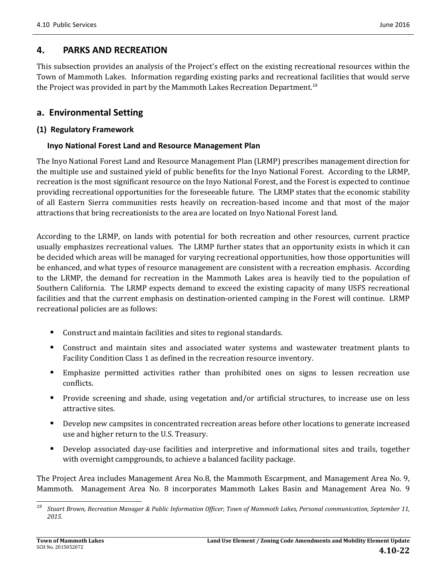## **4. PARKS AND RECREATION**

This subsection provides an analysis of the Project's effect on the existing recreational resources within the Town of Mammoth Lakes. Information regarding existing parks and recreational facilities that would serve the Project was provided in part by the Mammoth Lakes Recreation Department.<sup>19</sup>

## **a. Environmental Setting**

### **(1) Regulatory Framework**

### **Inyo National Forest Land and Resource Management Plan**

The Inyo National Forest Land and Resource Management Plan (LRMP) prescribes management direction for the multiple use and sustained yield of public benefits for the Inyo National Forest. According to the LRMP, recreation is the most significant resource on the Inyo National Forest, and the Forest is expected to continue providing recreational opportunities for the foreseeable future. The LRMP states that the economic stability of all Eastern Sierra communities rests heavily on recreation-based income and that most of the major attractions that bring recreationists to the area are located on Inyo National Forest land.

According to the LRMP, on lands with potential for both recreation and other resources, current practice usually emphasizes recreational values. The LRMP further states that an opportunity exists in which it can be decided which areas will be managed for varying recreational opportunities, how those opportunities will be enhanced, and what types of resource management are consistent with a recreation emphasis. According to the LRMP, the demand for recreation in the Mammoth Lakes area is heavily tied to the population of Southern California. The LRMP expects demand to exceed the existing capacity of many USFS recreational facilities and that the current emphasis on destination-oriented camping in the Forest will continue. LRMP recreational policies are as follows:

- Construct and maintain facilities and sites to regional standards.
- Construct and maintain sites and associated water systems and wastewater treatment plants to Facility Condition Class 1 as defined in the recreation resource inventory.
- **Emphasize permitted activities rather than prohibited ones on signs to lessen recreation use** conflicts.
- Provide screening and shade, using vegetation and/or artificial structures, to increase use on less attractive sites.
- Develop new campsites in concentrated recreation areas before other locations to generate increased use and higher return to the U.S. Treasury.
- Develop associated day-use facilities and interpretive and informational sites and trails, together with overnight campgrounds, to achieve a balanced facility package.

The Project Area includes Management Area No.8, the Mammoth Escarpment, and Management Area No. 9, Mammoth. Management Area No. 8 incorporates Mammoth Lakes Basin and Management Area No. 9

 <sup>19</sup> Stuart Brown, Recreation Manager & Public Information Officer, Town of Mammoth Lakes, Personal communication, September 11, *2015.*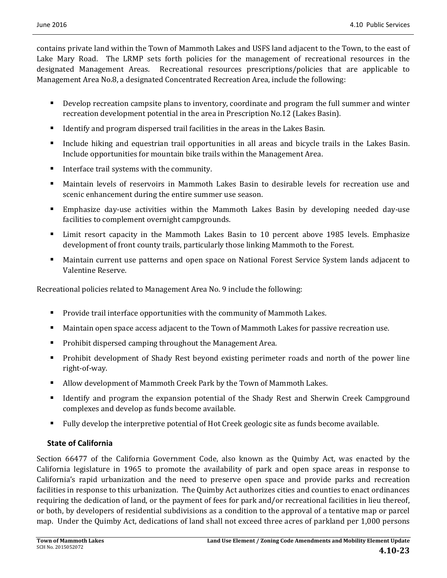contains private land within the Town of Mammoth Lakes and USFS land adjacent to the Town, to the east of Lake Mary Road. The LRMP sets forth policies for the management of recreational resources in the designated Management Areas. Recreational resources prescriptions/policies that are applicable to Management Area No.8, a designated Concentrated Recreation Area, include the following:

- Develop recreation campsite plans to inventory, coordinate and program the full summer and winter recreation development potential in the area in Prescription No.12 (Lakes Basin).
- Identify and program dispersed trail facilities in the areas in the Lakes Basin.
- Include hiking and equestrian trail opportunities in all areas and bicycle trails in the Lakes Basin. Include opportunities for mountain bike trails within the Management Area.
- Interface trail systems with the community.
- Maintain levels of reservoirs in Mammoth Lakes Basin to desirable levels for recreation use and scenic enhancement during the entire summer use season.
- Emphasize day-use activities within the Mammoth Lakes Basin by developing needed day-use facilities to complement overnight campgrounds.
- Limit resort capacity in the Mammoth Lakes Basin to 10 percent above 1985 levels. Emphasize development of front county trails, particularly those linking Mammoth to the Forest.
- **Maintain current use patterns and open space on National Forest Service System lands adjacent to** Valentine Reserve.

Recreational policies related to Management Area No. 9 include the following:

- **Provide trail interface opportunities with the community of Mammoth Lakes.**
- Maintain open space access adjacent to the Town of Mammoth Lakes for passive recreation use.
- **Prohibit dispersed camping throughout the Management Area.**
- Prohibit development of Shady Rest beyond existing perimeter roads and north of the power line right‐of‐way.
- Allow development of Mammoth Creek Park by the Town of Mammoth Lakes.
- If Identify and program the expansion potential of the Shady Rest and Sherwin Creek Campground complexes and develop as funds become available.
- Fully develop the interpretive potential of Hot Creek geologic site as funds become available.

## **State of California**

Section 66477 of the California Government Code, also known as the Ouimby Act, was enacted by the California legislature in 1965 to promote the availability of park and open space areas in response to California's rapid urbanization and the need to preserve open space and provide parks and recreation facilities in response to this urbanization. The Quimby Act authorizes cities and counties to enact ordinances requiring the dedication of land, or the payment of fees for park and/or recreational facilities in lieu thereof, or both, by developers of residential subdivisions as a condition to the approval of a tentative map or parcel map. Under the Quimby Act, dedications of land shall not exceed three acres of parkland per 1,000 persons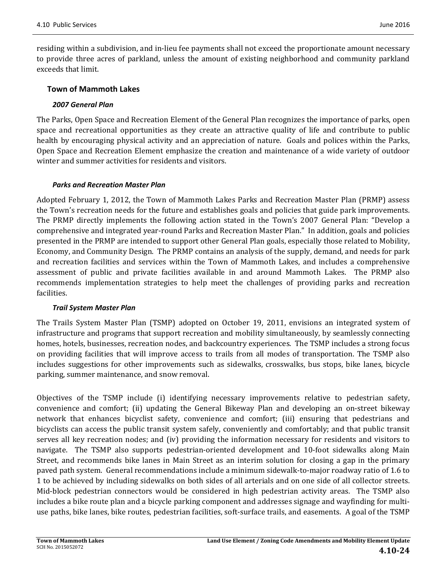residing within a subdivision, and in-lieu fee payments shall not exceed the proportionate amount necessary to provide three acres of parkland, unless the amount of existing neighborhood and community parkland exceeds that limit.

### **Town of Mammoth Lakes**

#### *2007 General Plan*

The Parks, Open Space and Recreation Element of the General Plan recognizes the importance of parks, open space and recreational opportunities as they create an attractive quality of life and contribute to public health by encouraging physical activity and an appreciation of nature. Goals and polices within the Parks, Open Space and Recreation Element emphasize the creation and maintenance of a wide variety of outdoor winter and summer activities for residents and visitors.

#### *Parks and Recreation Master Plan*

Adopted February 1, 2012, the Town of Mammoth Lakes Parks and Recreation Master Plan (PRMP) assess the Town's recreation needs for the future and establishes goals and policies that guide park improvements. The PRMP directly implements the following action stated in the Town's 2007 General Plan: "Develop a comprehensive and integrated year-round Parks and Recreation Master Plan." In addition, goals and policies presented in the PRMP are intended to support other General Plan goals, especially those related to Mobility, Economy, and Community Design. The PRMP contains an analysis of the supply, demand, and needs for park and recreation facilities and services within the Town of Mammoth Lakes, and includes a comprehensive assessment of public and private facilities available in and around Mammoth Lakes. The PRMP also recommends implementation strategies to help meet the challenges of providing parks and recreation facilities. 

#### *Trail System Master Plan*

The Trails System Master Plan (TSMP) adopted on October 19, 2011, envisions an integrated system of infrastructure and programs that support recreation and mobility simultaneously, by seamlessly connecting homes, hotels, businesses, recreation nodes, and backcountry experiences. The TSMP includes a strong focus on providing facilities that will improve access to trails from all modes of transportation. The TSMP also includes suggestions for other improvements such as sidewalks, crosswalks, bus stops, bike lanes, bicycle parking, summer maintenance, and snow removal.

Objectives of the TSMP include (i) identifying necessary improvements relative to pedestrian safety, convenience and comfort; (ii) updating the General Bikeway Plan and developing an on-street bikeway network that enhances bicyclist safety, convenience and comfort; (iii) ensuring that pedestrians and bicyclists can access the public transit system safely, conveniently and comfortably; and that public transit serves all key recreation nodes; and (iv) providing the information necessary for residents and visitors to navigate. The TSMP also supports pedestrian-oriented development and 10-foot sidewalks along Main Street, and recommends bike lanes in Main Street as an interim solution for closing a gap in the primary paved path system. General recommendations include a minimum sidewalk-to-major roadway ratio of 1.6 to 1 to be achieved by including sidewalks on both sides of all arterials and on one side of all collector streets. Mid-block pedestrian connectors would be considered in high pedestrian activity areas. The TSMP also includes a bike route plan and a bicycle parking component and addresses signage and wayfinding for multiuse paths, bike lanes, bike routes, pedestrian facilities, soft-surface trails, and easements. A goal of the TSMP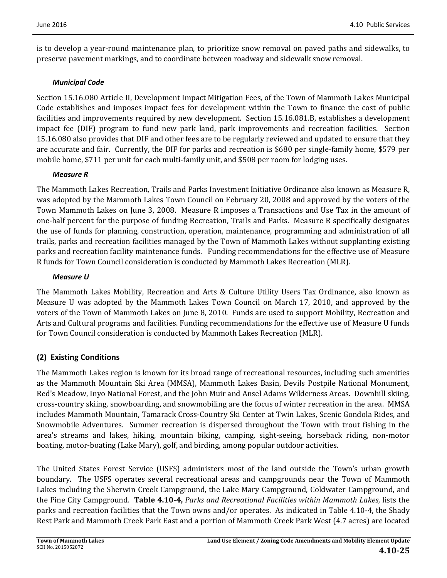is to develop a year-round maintenance plan, to prioritize snow removal on paved paths and sidewalks, to preserve pavement markings, and to coordinate between roadway and sidewalk snow removal.

### *Municipal Code*

Section 15.16.080 Article II, Development Impact Mitigation Fees, of the Town of Mammoth Lakes Municipal Code establishes and imposes impact fees for development within the Town to finance the cost of public facilities and improvements required by new development. Section 15.16.081.B, establishes a development impact fee (DIF) program to fund new park land, park improvements and recreation facilities. Section 15.16.080 also provides that DIF and other fees are to be regularly reviewed and updated to ensure that they are accurate and fair. Currently, the DIF for parks and recreation is \$680 per single-family home, \$579 per mobile home, \$711 per unit for each multi-family unit, and \$508 per room for lodging uses.

### *Measure R*

The Mammoth Lakes Recreation, Trails and Parks Investment Initiative Ordinance also known as Measure R, was adopted by the Mammoth Lakes Town Council on February 20, 2008 and approved by the voters of the Town Mammoth Lakes on June 3, 2008. Measure R imposes a Transactions and Use Tax in the amount of one-half percent for the purpose of funding Recreation, Trails and Parks. Measure R specifically designates the use of funds for planning, construction, operation, maintenance, programming and administration of all trails, parks and recreation facilities managed by the Town of Mammoth Lakes without supplanting existing parks and recreation facility maintenance funds. Funding recommendations for the effective use of Measure R funds for Town Council consideration is conducted by Mammoth Lakes Recreation (MLR).

### *Measure U*

The Mammoth Lakes Mobility, Recreation and Arts & Culture Utility Users Tax Ordinance, also known as Measure U was adopted by the Mammoth Lakes Town Council on March 17, 2010, and approved by the voters of the Town of Mammoth Lakes on June 8, 2010. Funds are used to support Mobility, Recreation and Arts and Cultural programs and facilities. Funding recommendations for the effective use of Measure U funds for Town Council consideration is conducted by Mammoth Lakes Recreation (MLR).

## **(2) Existing Conditions**

The Mammoth Lakes region is known for its broad range of recreational resources, including such amenities as the Mammoth Mountain Ski Area (MMSA), Mammoth Lakes Basin, Devils Postpile National Monument, Red's Meadow, Inyo National Forest, and the John Muir and Ansel Adams Wilderness Areas. Downhill skiing, cross-country skiing, snowboarding, and snowmobiling are the focus of winter recreation in the area. MMSA includes Mammoth Mountain, Tamarack Cross-Country Ski Center at Twin Lakes, Scenic Gondola Rides, and Snowmobile Adventures. Summer recreation is dispersed throughout the Town with trout fishing in the area's streams and lakes, hiking, mountain biking, camping, sight-seeing, horseback riding, non-motor boating, motor-boating (Lake Mary), golf, and birding, among popular outdoor activities.

The United States Forest Service (USFS) administers most of the land outside the Town's urban growth boundary. The USFS operates several recreational areas and campgrounds near the Town of Mammoth Lakes including the Sherwin Creek Campground, the Lake Mary Campground, Coldwater Campground, and the Pine City Campground. **Table 4.10‐4,** *Parks and Recreational Facilities within Mammoth Lakes,* lists the parks and recreation facilities that the Town owns and/or operates. As indicated in Table 4.10-4, the Shady Rest Park and Mammoth Creek Park East and a portion of Mammoth Creek Park West (4.7 acres) are located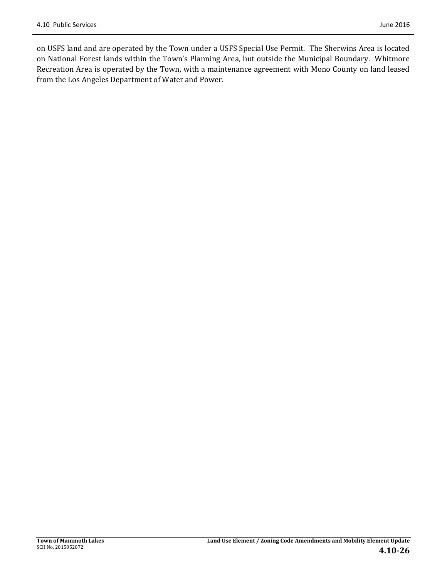on USFS land and are operated by the Town under a USFS Special Use Permit. The Sherwins Area is located on National Forest lands within the Town's Planning Area, but outside the Municipal Boundary. Whitmore Recreation Area is operated by the Town, with a maintenance agreement with Mono County on land leased from the Los Angeles Department of Water and Power.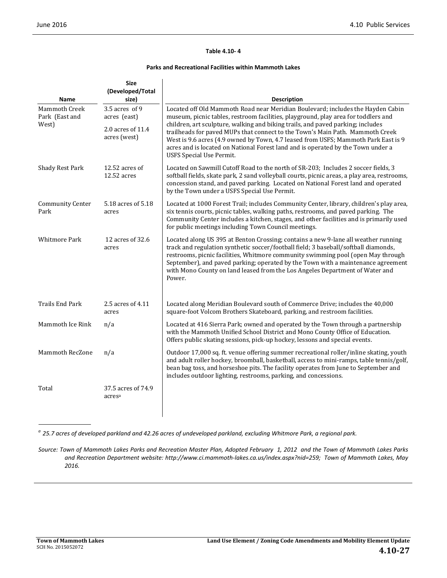#### **Table 4.10‐ 4**

#### **Parks and Recreational Facilities within Mammoth Lakes**

| <b>Name</b>                                     | <b>Size</b><br>(Developed/Total<br>size)                            | <b>Description</b>                                                                                                                                                                                                                                                                                                                                                                                                                                                                                                                                     |
|-------------------------------------------------|---------------------------------------------------------------------|--------------------------------------------------------------------------------------------------------------------------------------------------------------------------------------------------------------------------------------------------------------------------------------------------------------------------------------------------------------------------------------------------------------------------------------------------------------------------------------------------------------------------------------------------------|
| <b>Mammoth Creek</b><br>Park (East and<br>West) | 3.5 acres of 9<br>acres (east)<br>2.0 acres of 11.4<br>acres (west) | Located off Old Mammoth Road near Meridian Boulevard; includes the Hayden Cabin<br>museum, picnic tables, restroom facilities, playground, play area for toddlers and<br>children, art sculpture, walking and biking trails, and paved parking; includes<br>trailheads for paved MUPs that connect to the Town's Main Path. Mammoth Creek<br>West is 9.6 acres (4.9 owned by Town, 4.7 leased from USFS; Mammoth Park East is 9<br>acres and is located on National Forest land and is operated by the Town under a<br><b>USFS Special Use Permit.</b> |
| <b>Shady Rest Park</b>                          | 12.52 acres of<br>12.52 acres                                       | Located on Sawmill Cutoff Road to the north of SR-203; Includes 2 soccer fields, 3<br>softball fields, skate park, 2 sand volleyball courts, picnic areas, a play area, restrooms,<br>concession stand, and paved parking. Located on National Forest land and operated<br>by the Town under a USFS Special Use Permit.                                                                                                                                                                                                                                |
| <b>Community Center</b><br>Park                 | 5.18 acres of 5.18<br>acres                                         | Located at 1000 Forest Trail; includes Community Center, library, children's play area,<br>six tennis courts, picnic tables, walking paths, restrooms, and paved parking. The<br>Community Center includes a kitchen, stages, and other facilities and is primarily used<br>for public meetings including Town Council meetings.                                                                                                                                                                                                                       |
| <b>Whitmore Park</b>                            | 12 acres of 32.6<br>acres                                           | Located along US 395 at Benton Crossing; contains a new 9-lane all weather running<br>track and regulation synthetic soccer/football field; 3 baseball/softball diamonds,<br>restrooms, picnic facilities, Whitmore community swimming pool (open May through<br>September), and paved parking; operated by the Town with a maintenance agreement<br>with Mono County on land leased from the Los Angeles Department of Water and<br>Power.                                                                                                            |
| Trails End Park                                 | 2.5 acres of 4.11<br>acres                                          | Located along Meridian Boulevard south of Commerce Drive; includes the 40,000<br>square-foot Volcom Brothers Skateboard, parking, and restroom facilities.                                                                                                                                                                                                                                                                                                                                                                                             |
| Mammoth Ice Rink                                | n/a                                                                 | Located at 416 Sierra Park; owned and operated by the Town through a partnership<br>with the Mammoth Unified School District and Mono County Office of Education.<br>Offers public skating sessions, pick-up hockey, lessons and special events.                                                                                                                                                                                                                                                                                                       |
| <b>Mammoth RecZone</b>                          | n/a                                                                 | Outdoor 17,000 sq. ft. venue offering summer recreational roller/inline skating, youth<br>and adult roller hockey, broomball, basketball, access to mini-ramps, table tennis/golf,<br>bean bag toss, and horseshoe pits. The facility operates from June to September and<br>includes outdoor lighting, restrooms, parking, and concessions.                                                                                                                                                                                                           |
| Total                                           | 37.5 acres of 74.9<br>acresa                                        |                                                                                                                                                                                                                                                                                                                                                                                                                                                                                                                                                        |

 $^a$  25.7 acres of developed parkland and 42.26 acres of undeveloped parkland, excluding Whitmore Park, a regional park.

Source: Town of Mammoth Lakes Parks and Recreation Master Plan, Adopted February 1, 2012 and the Town of Mammoth Lakes Parks *and Recreation Department website: http://www.ci.mammoth‐lakes.ca.us/index.aspx?nid=259; Town of Mammoth Lakes, May 2016.*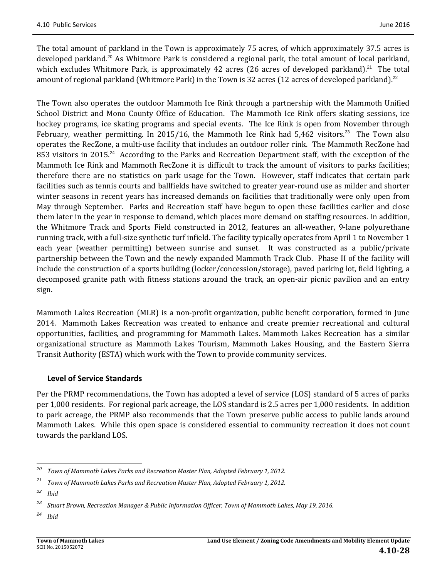The total amount of parkland in the Town is approximately 75 acres, of which approximately 37.5 acres is developed parkland.<sup>20</sup> As Whitmore Park is considered a regional park, the total amount of local parkland, which excludes Whitmore Park, is approximately 42 acres (26 acres of developed parkland).<sup>21</sup> The total amount of regional parkland (Whitmore Park) in the Town is 32 acres (12 acres of developed parkland).<sup>22</sup>

The Town also operates the outdoor Mammoth Ice Rink through a partnership with the Mammoth Unified School District and Mono County Office of Education. The Mammoth Ice Rink offers skating sessions, ice hockey programs, ice skating programs and special events. The Ice Rink is open from November through February, weather permitting. In 2015/16, the Mammoth Ice Rink had  $5,462$  visitors.<sup>23</sup> The Town also operates the RecZone, a multi-use facility that includes an outdoor roller rink. The Mammoth RecZone had 853 visitors in 2015.<sup>24</sup> According to the Parks and Recreation Department staff, with the exception of the Mammoth Ice Rink and Mammoth RecZone it is difficult to track the amount of visitors to parks facilities; therefore there are no statistics on park usage for the Town. However, staff indicates that certain park facilities such as tennis courts and ballfields have switched to greater year-round use as milder and shorter winter seasons in recent years has increased demands on facilities that traditionally were only open from May through September. Parks and Recreation staff have begun to open these facilities earlier and close them later in the year in response to demand, which places more demand on staffing resources. In addition, the Whitmore Track and Sports Field constructed in 2012, features an all-weather, 9-lane polyurethane running track, with a full-size synthetic turf infield. The facility typically operates from April 1 to November 1 each year (weather permitting) between sunrise and sunset. It was constructed as a public/private partnership between the Town and the newly expanded Mammoth Track Club. Phase II of the facility will include the construction of a sports building (locker/concession/storage), paved parking lot, field lighting, a decomposed granite path with fitness stations around the track, an open-air picnic pavilion and an entry sign. 

Mammoth Lakes Recreation (MLR) is a non-profit organization, public benefit corporation, formed in June 2014. Mammoth Lakes Recreation was created to enhance and create premier recreational and cultural opportunities, facilities, and programming for Mammoth Lakes. Mammoth Lakes Recreation has a similar organizational structure as Mammoth Lakes Tourism, Mammoth Lakes Housing, and the Eastern Sierra Transit Authority (ESTA) which work with the Town to provide community services.

### **Level of Service Standards**

Per the PRMP recommendations, the Town has adopted a level of service (LOS) standard of 5 acres of parks per 1,000 residents. For regional park acreage, the LOS standard is 2.5 acres per 1,000 residents. In addition to park acreage, the PRMP also recommends that the Town preserve public access to public lands around Mammoth Lakes. While this open space is considered essential to community recreation it does not count towards the parkland LOS.

<sup>&</sup>lt;u> 1989 - Johann Stein, fransk politik (d. 1989)</u> *<sup>20</sup> Town of Mammoth Lakes Parks and Recreation Master Plan, Adopted February 1, 2012.* 

*<sup>21</sup> Town of Mammoth Lakes Parks and Recreation Master Plan, Adopted February 1, 2012.* 

*<sup>22</sup> Ibid*

*<sup>23</sup> Stuart Brown, Recreation Manager & Public Information Officer, Town of Mammoth Lakes, May 19, 2016.*

*<sup>24</sup> Ibid*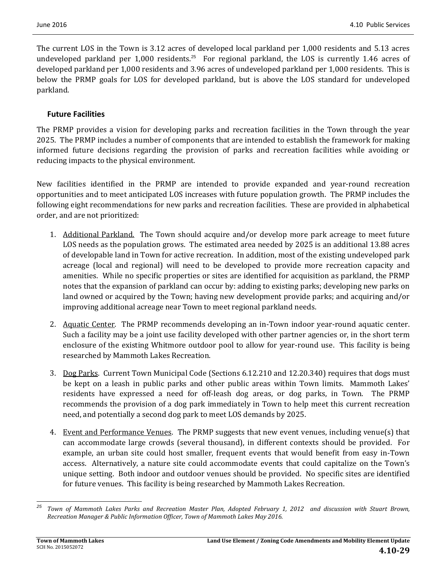The current LOS in the Town is 3.12 acres of developed local parkland per 1,000 residents and 5.13 acres undeveloped parkland per 1,000 residents.<sup>25</sup> For regional parkland, the LOS is currently 1.46 acres of developed parkland per 1,000 residents and 3.96 acres of undeveloped parkland per 1,000 residents. This is below the PRMP goals for LOS for developed parkland, but is above the LOS standard for undeveloped parkland. 

### **Future Facilities**

The PRMP provides a vision for developing parks and recreation facilities in the Town through the year 2025. The PRMP includes a number of components that are intended to establish the framework for making informed future decisions regarding the provision of parks and recreation facilities while avoiding or reducing impacts to the physical environment.

New facilities identified in the PRMP are intended to provide expanded and year-round recreation opportunities and to meet anticipated LOS increases with future population growth. The PRMP includes the following eight recommendations for new parks and recreation facilities. These are provided in alphabetical order, and are not prioritized:

- 1. Additional Parkland. The Town should acquire and/or develop more park acreage to meet future LOS needs as the population grows. The estimated area needed by 2025 is an additional 13.88 acres of developable land in Town for active recreation. In addition, most of the existing undeveloped park acreage (local and regional) will need to be developed to provide more recreation capacity and amenities. While no specific properties or sites are identified for acquisition as parkland, the PRMP notes that the expansion of parkland can occur by: adding to existing parks; developing new parks on land owned or acquired by the Town; having new development provide parks; and acquiring and/or improving additional acreage near Town to meet regional parkland needs.
- 2. Aquatic Center. The PRMP recommends developing an in-Town indoor year-round aquatic center. Such a facility may be a joint use facility developed with other partner agencies or, in the short term enclosure of the existing Whitmore outdoor pool to allow for year-round use. This facility is being researched by Mammoth Lakes Recreation.
- 3. Dog Parks. Current Town Municipal Code (Sections 6.12.210 and 12.20.340) requires that dogs must be kept on a leash in public parks and other public areas within Town limits. Mammoth Lakes' residents have expressed a need for off-leash dog areas, or dog parks, in Town. The PRMP recommends the provision of a dog park immediately in Town to help meet this current recreation need, and potentially a second dog park to meet LOS demands by 2025.
- 4. Event and Performance Venues. The PRMP suggests that new event venues, including venue(s) that can accommodate large crowds (several thousand), in different contexts should be provided. For example, an urban site could host smaller, frequent events that would benefit from easy in-Town access. Alternatively, a nature site could accommodate events that could capitalize on the Town's unique setting. Both indoor and outdoor venues should be provided. No specific sites are identified for future venues. This facility is being researched by Mammoth Lakes Recreation.

 Town of Mammoth Lakes Parks and Recreation Master Plan, Adopted February 1, 2012 and discussion with Stuart Brown, *Recreation Manager & Public Information Officer, Town of Mammoth Lakes May 2016.*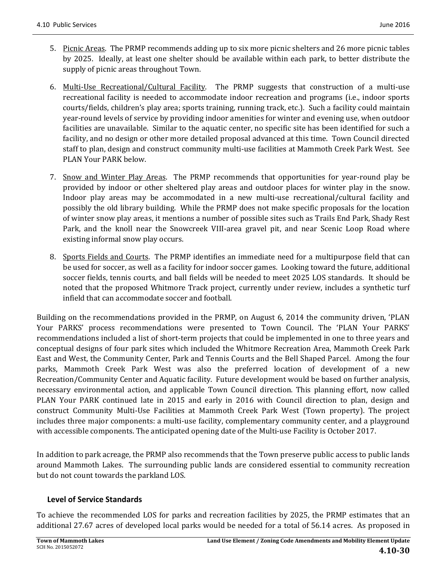- 5. Picnic Areas. The PRMP recommends adding up to six more picnic shelters and 26 more picnic tables by 2025. Ideally, at least one shelter should be available within each park, to better distribute the supply of picnic areas throughout Town.
- 6. Multi-Use Recreational/Cultural Facility. The PRMP suggests that construction of a multi-use recreational facility is needed to accommodate indoor recreation and programs (i.e., indoor sports courts/fields, children's play area; sports training, running track, etc.). Such a facility could maintain year-round levels of service by providing indoor amenities for winter and evening use, when outdoor facilities are unavailable. Similar to the aquatic center, no specific site has been identified for such a facility, and no design or other more detailed proposal advanced at this time. Town Council directed staff to plan, design and construct community multi-use facilities at Mammoth Creek Park West. See PLAN Your PARK below.
- 7. Snow and Winter Play Areas. The PRMP recommends that opportunities for year-round play be provided by indoor or other sheltered play areas and outdoor places for winter play in the snow. Indoor play areas may be accommodated in a new multi-use recreational/cultural facility and possibly the old library building. While the PRMP does not make specific proposals for the location of winter snow play areas, it mentions a number of possible sites such as Trails End Park, Shady Rest Park, and the knoll near the Snowcreek VIII-area gravel pit, and near Scenic Loop Road where existing informal snow play occurs.
- 8. Sports Fields and Courts. The PRMP identifies an immediate need for a multipurpose field that can be used for soccer, as well as a facility for indoor soccer games. Looking toward the future, additional soccer fields, tennis courts, and ball fields will be needed to meet 2025 LOS standards. It should be noted that the proposed Whitmore Track project, currently under review, includes a synthetic turf infield that can accommodate soccer and football.

Building on the recommendations provided in the PRMP, on August 6, 2014 the community driven, 'PLAN Your PARKS' process recommendations were presented to Town Council. The 'PLAN Your PARKS' recommendations included a list of short-term projects that could be implemented in one to three years and conceptual designs of four park sites which included the Whitmore Recreation Area, Mammoth Creek Park East and West, the Community Center, Park and Tennis Courts and the Bell Shaped Parcel. Among the four parks, Mammoth Creek Park West was also the preferred location of development of a new Recreation/Community Center and Aquatic facility. Future development would be based on further analysis, necessary environmental action, and applicable Town Council direction. This planning effort, now called PLAN Your PARK continued late in 2015 and early in 2016 with Council direction to plan, design and construct Community Multi-Use Facilities at Mammoth Creek Park West (Town property). The project includes three major components: a multi-use facility, complementary community center, and a playground with accessible components. The anticipated opening date of the Multi-use Facility is October 2017.

In addition to park acreage, the PRMP also recommends that the Town preserve public access to public lands around Mammoth Lakes. The surrounding public lands are considered essential to community recreation but do not count towards the parkland LOS.

### **Level of Service Standards**

To achieve the recommended LOS for parks and recreation facilities by 2025, the PRMP estimates that an additional 27.67 acres of developed local parks would be needed for a total of 56.14 acres. As proposed in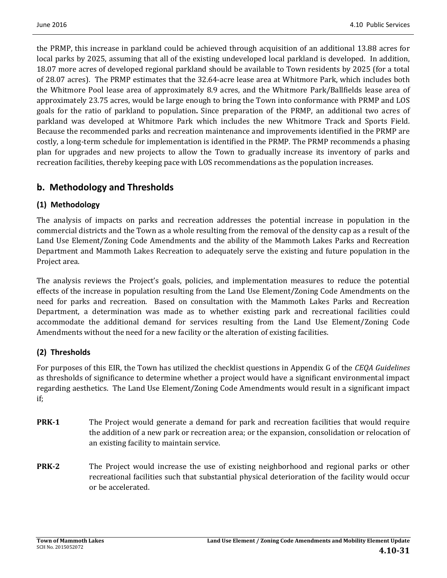the PRMP, this increase in parkland could be achieved through acquisition of an additional 13.88 acres for local parks by 2025, assuming that all of the existing undeveloped local parkland is developed. In addition, 18.07 more acres of developed regional parkland should be available to Town residents by 2025 (for a total of 28.07 acres). The PRMP estimates that the 32.64-acre lease area at Whitmore Park, which includes both the Whitmore Pool lease area of approximately 8.9 acres, and the Whitmore Park/Ballfields lease area of approximately 23.75 acres, would be large enough to bring the Town into conformance with PRMP and LOS goals for the ratio of parkland to population. Since preparation of the PRMP, an additional two acres of parkland was developed at Whitmore Park which includes the new Whitmore Track and Sports Field. Because the recommended parks and recreation maintenance and improvements identified in the PRMP are costly, a long-term schedule for implementation is identified in the PRMP. The PRMP recommends a phasing plan for upgrades and new projects to allow the Town to gradually increase its inventory of parks and recreation facilities, thereby keeping pace with LOS recommendations as the population increases.

## **b. Methodology and Thresholds**

## **(1) Methodology**

The analysis of impacts on parks and recreation addresses the potential increase in population in the commercial districts and the Town as a whole resulting from the removal of the density cap as a result of the Land Use Element/Zoning Code Amendments and the ability of the Mammoth Lakes Parks and Recreation Department and Mammoth Lakes Recreation to adequately serve the existing and future population in the Project area.

The analysis reviews the Project's goals, policies, and implementation measures to reduce the potential effects of the increase in population resulting from the Land Use Element/Zoning Code Amendments on the need for parks and recreation. Based on consultation with the Mammoth Lakes Parks and Recreation Department, a determination was made as to whether existing park and recreational facilities could accommodate the additional demand for services resulting from the Land Use Element/Zoning Code Amendments without the need for a new facility or the alteration of existing facilities.

## **(2) Thresholds**

For purposes of this EIR, the Town has utilized the checklist questions in Appendix G of the *CEQA Guidelines* as thresholds of significance to determine whether a project would have a significant environmental impact regarding aesthetics. The Land Use Element/Zoning Code Amendments would result in a significant impact if; 

- **PRK-1** The Project would generate a demand for park and recreation facilities that would require the addition of a new park or recreation area; or the expansion, consolidation or relocation of an existing facility to maintain service.
- **PRK**<sup>-2</sup> The Project would increase the use of existing neighborhood and regional parks or other recreational facilities such that substantial physical deterioration of the facility would occur or be accelerated.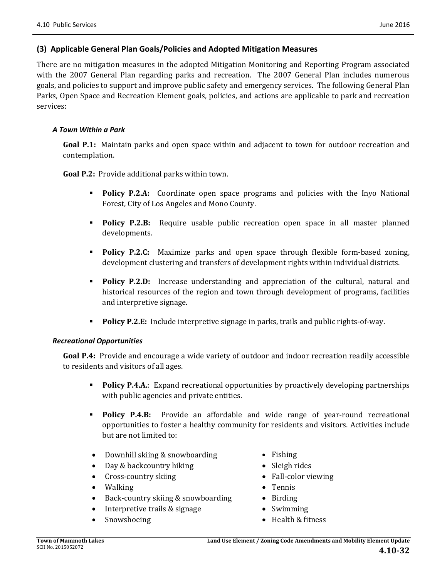### **(3) Applicable General Plan Goals/Policies and Adopted Mitigation Measures**

There are no mitigation measures in the adopted Mitigation Monitoring and Reporting Program associated with the 2007 General Plan regarding parks and recreation. The 2007 General Plan includes numerous goals, and policies to support and improve public safety and emergency services. The following General Plan Parks, Open Space and Recreation Element goals, policies, and actions are applicable to park and recreation services: 

#### *A Town Within a Park*

**Goal P.1:** Maintain parks and open space within and adjacent to town for outdoor recreation and contemplation. 

**Goal P.2:** Provide additional parks within town.

- **Policy P.2.A:** Coordinate open space programs and policies with the Inyo National Forest, City of Los Angeles and Mono County.
- **Policy P.2.B:** Require usable public recreation open space in all master planned developments.
- **Policy P.2.C:** Maximize parks and open space through flexible form-based zoning, development clustering and transfers of development rights within individual districts.
- **Policy P.2.D:** Increase understanding and appreciation of the cultural, natural and historical resources of the region and town through development of programs, facilities and interpretive signage.
- **Policy P.2.E:** Include interpretive signage in parks, trails and public rights-of-way.

#### *Recreational Opportunities*

**Goal P.4:** Provide and encourage a wide variety of outdoor and indoor recreation readily accessible to residents and visitors of all ages.

- **Policy P.4.A.**: Expand recreational opportunities by proactively developing partnerships with public agencies and private entities.
- **Policy P.4.B:** Provide an affordable and wide range of year-round recreational opportunities to foster a healthy community for residents and visitors. Activities include but are not limited to:
- Downhill skiing & snowboarding Fishing
- Day & backcountry hiking **•** Sleigh rides
- Cross-country skiing **•** Fall-color viewing
- Walking Tennis
- Back-country skiing & snowboarding Birding
- Interpretive trails & signage Swimming
- 
- 
- 
- 
- 
- 
- 
- Snowshoeing **Called Access Health & fitness**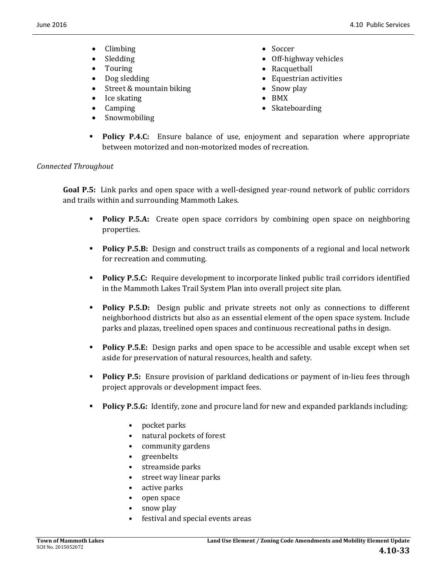- Climbing Soccer
- 
- 
- 
- Street & mountain biking Snow play
- Ice skating BMX
- 
- Snowmobiling
- 
- Sledding **•** Off-highway vehicles
- Touring **a** Racquetball
- Dog sledding **Contract Contract Contract Contract Contract Contract Contract Contract Contract Contract Contract Contract Contract Contract Contract Contract Contract Contract Contract Contract Contract Contract Contract** 
	-
	-
- Camping **Camping Skateboarding**
- **Policy P.4.C:** Ensure balance of use, enjoyment and separation where appropriate between motorized and non-motorized modes of recreation.

#### *Connected Throughout*

**Goal P.5:** Link parks and open space with a well-designed year-round network of public corridors and trails within and surrounding Mammoth Lakes.

- **Policy P.5.A:** Create open space corridors by combining open space on neighboring properties.
- **Policy P.5.B:** Design and construct trails as components of a regional and local network for recreation and commuting.
- **Policy P.5.C:** Require development to incorporate linked public trail corridors identified in the Mammoth Lakes Trail System Plan into overall project site plan.
- **Policy P.5.D:** Design public and private streets not only as connections to different neighborhood districts but also as an essential element of the open space system. Include parks and plazas, treelined open spaces and continuous recreational paths in design.
- **Policy P.5.E:** Design parks and open space to be accessible and usable except when set aside for preservation of natural resources, health and safety.
- **Policy P.5:** Ensure provision of parkland dedications or payment of in-lieu fees through project approvals or development impact fees.
- **Policy P.5.G:** Identify, zone and procure land for new and expanded parklands including:
	- pocket parks
	- natural pockets of forest
	- community gardens
	- greenbelts
	- streamside parks
	- street way linear parks
	- $\bullet$  active parks
	- open space
	- snow play
	- festival and special events areas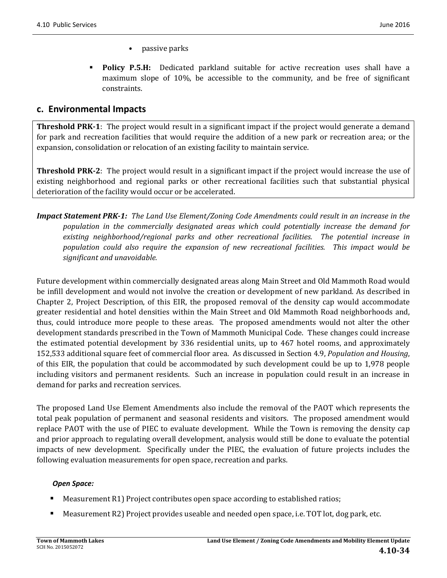- passive parks
- **Policy P.5.H:** Dedicated parkland suitable for active recreation uses shall have a maximum slope of  $10\%$ , be accessible to the community, and be free of significant constraints.

## **c. Environmental Impacts**

**Threshold PRK<sup>-1</sup>**: The project would result in a significant impact if the project would generate a demand for park and recreation facilities that would require the addition of a new park or recreation area; or the expansion, consolidation or relocation of an existing facility to maintain service.

**Threshold PRK-2:** The project would result in a significant impact if the project would increase the use of existing neighborhood and regional parks or other recreational facilities such that substantial physical deterioration of the facility would occur or be accelerated.

**Impact Statement PRK-1:** The Land Use Element/Zoning Code Amendments could result in an increase in the *population in the commercially designated areas which could potentially increase the demand for existing neighborhood/regional parks and other recreational facilities. The potential increase in population could also require the expansion of new recreational facilities. This impact would be significant and unavoidable.*

Future development within commercially designated areas along Main Street and Old Mammoth Road would be infill development and would not involve the creation or development of new parkland. As described in Chapter 2, Project Description, of this EIR, the proposed removal of the density cap would accommodate greater residential and hotel densities within the Main Street and Old Mammoth Road neighborhoods and, thus, could introduce more people to these areas. The proposed amendments would not alter the other development standards prescribed in the Town of Mammoth Municipal Code. These changes could increase the estimated potential development by 336 residential units, up to 467 hotel rooms, and approximately 152,533 additional square feet of commercial floor area. As discussed in Section 4.9, *Population and Housing*, of this EIR, the population that could be accommodated by such development could be up to 1,978 people including visitors and permanent residents. Such an increase in population could result in an increase in demand for parks and recreation services.

The proposed Land Use Element Amendments also include the removal of the PAOT which represents the total peak population of permanent and seasonal residents and visitors. The proposed amendment would replace PAOT with the use of PIEC to evaluate development. While the Town is removing the density cap and prior approach to regulating overall development, analysis would still be done to evaluate the potential impacts of new development. Specifically under the PIEC, the evaluation of future projects includes the following evaluation measurements for open space, recreation and parks.

### *Open Space:*

- Measurement R1) Project contributes open space according to established ratios;
- Measurement R2) Project provides useable and needed open space, i.e. TOT lot, dog park, etc.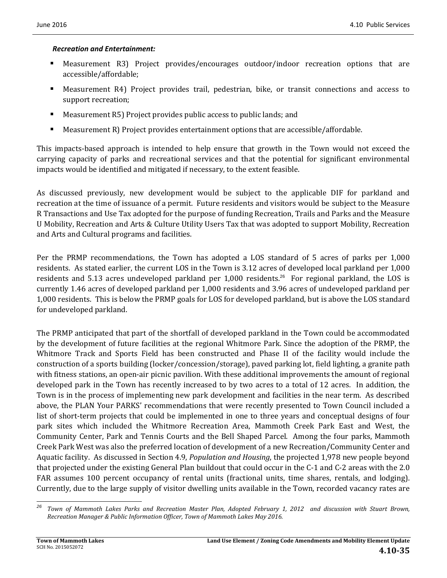#### *Recreation and Entertainment:*

- Measurement R3) Project provides/encourages outdoor/indoor recreation options that are accessible/affordable;
- Measurement R4) Project provides trail, pedestrian, bike, or transit connections and access to support recreation;
- Measurement R5) Project provides public access to public lands; and
- $\blacksquare$  Measurement R) Project provides entertainment options that are accessible/affordable.

This impacts-based approach is intended to help ensure that growth in the Town would not exceed the carrying capacity of parks and recreational services and that the potential for significant environmental impacts would be identified and mitigated if necessary, to the extent feasible.

As discussed previously, new development would be subject to the applicable DIF for parkland and recreation at the time of issuance of a permit. Future residents and visitors would be subject to the Measure R Transactions and Use Tax adopted for the purpose of funding Recreation, Trails and Parks and the Measure U Mobility, Recreation and Arts & Culture Utility Users Tax that was adopted to support Mobility, Recreation and Arts and Cultural programs and facilities.

Per the PRMP recommendations, the Town has adopted a LOS standard of 5 acres of parks per 1,000 residents. As stated earlier, the current LOS in the Town is 3.12 acres of developed local parkland per 1,000 residents and 5.13 acres undeveloped parkland per 1,000 residents.<sup>26</sup> For regional parkland, the LOS is currently 1.46 acres of developed parkland per 1,000 residents and 3.96 acres of undeveloped parkland per 1,000 residents. This is below the PRMP goals for LOS for developed parkland, but is above the LOS standard for undeveloped parkland.

The PRMP anticipated that part of the shortfall of developed parkland in the Town could be accommodated by the development of future facilities at the regional Whitmore Park. Since the adoption of the PRMP, the Whitmore Track and Sports Field has been constructed and Phase II of the facility would include the construction of a sports building (locker/concession/storage), paved parking lot, field lighting, a granite path with fitness stations, an open-air picnic pavilion. With these additional improvements the amount of regional developed park in the Town has recently increased to by two acres to a total of 12 acres. In addition, the Town is in the process of implementing new park development and facilities in the near term. As described above, the PLAN Your PARKS' recommendations that were recently presented to Town Council included a list of short-term projects that could be implemented in one to three years and conceptual designs of four park sites which included the Whitmore Recreation Area, Mammoth Creek Park East and West, the Community Center, Park and Tennis Courts and the Bell Shaped Parcel. Among the four parks, Mammoth Creek Park West was also the preferred location of development of a new Recreation/Community Center and Aquatic facility. As discussed in Section 4.9, *Population and Housing*, the projected 1,978 new people beyond that projected under the existing General Plan buildout that could occur in the C-1 and C-2 areas with the 2.0 FAR assumes 100 percent occupancy of rental units (fractional units, time shares, rentals, and lodging). Currently, due to the large supply of visitor dwelling units available in the Town, recorded vacancy rates are

 <sup>26</sup> Town of Mammoth Lakes Parks and Recreation Master Plan, Adopted February 1, 2012 and discussion with Stuart Brown, *Recreation Manager & Public Information Officer, Town of Mammoth Lakes May 2016.*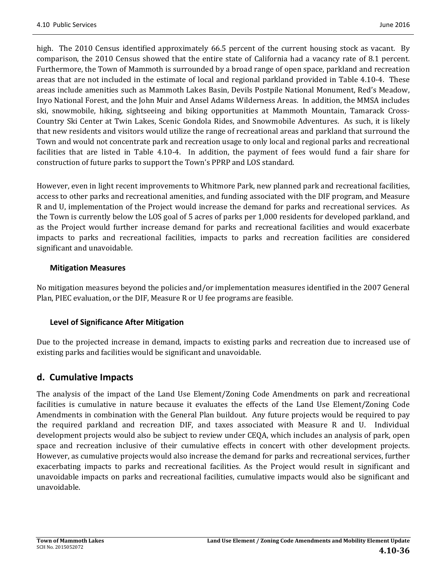high. The 2010 Census identified approximately 66.5 percent of the current housing stock as vacant. By comparison, the 2010 Census showed that the entire state of California had a vacancy rate of 8.1 percent. Furthermore, the Town of Mammoth is surrounded by a broad range of open space, parkland and recreation areas that are not included in the estimate of local and regional parkland provided in Table 4.10-4. These areas include amenities such as Mammoth Lakes Basin, Devils Postpile National Monument, Red's Meadow, Inyo National Forest, and the John Muir and Ansel Adams Wilderness Areas. In addition, the MMSA includes ski, snowmobile, hiking, sightseeing and biking opportunities at Mammoth Mountain, Tamarack Cross-Country Ski Center at Twin Lakes, Scenic Gondola Rides, and Snowmobile Adventures. As such, it is likely that new residents and visitors would utilize the range of recreational areas and parkland that surround the Town and would not concentrate park and recreation usage to only local and regional parks and recreational facilities that are listed in Table 4.10-4. In addition, the payment of fees would fund a fair share for construction of future parks to support the Town's PPRP and LOS standard.

However, even in light recent improvements to Whitmore Park, new planned park and recreational facilities, access to other parks and recreational amenities, and funding associated with the DIF program, and Measure R and U, implementation of the Project would increase the demand for parks and recreational services. As the Town is currently below the LOS goal of 5 acres of parks per 1,000 residents for developed parkland, and as the Project would further increase demand for parks and recreational facilities and would exacerbate impacts to parks and recreational facilities, impacts to parks and recreation facilities are considered significant and unavoidable.

### **Mitigation Measures**

No mitigation measures beyond the policies and/or implementation measures identified in the 2007 General Plan, PIEC evaluation, or the DIF, Measure R or U fee programs are feasible.

## **Level of Significance After Mitigation**

Due to the projected increase in demand, impacts to existing parks and recreation due to increased use of existing parks and facilities would be significant and unavoidable.

## **d. Cumulative Impacts**

The analysis of the impact of the Land Use Element/Zoning Code Amendments on park and recreational facilities is cumulative in nature because it evaluates the effects of the Land Use Element/Zoning Code Amendments in combination with the General Plan buildout. Any future projects would be required to pay the required parkland and recreation DIF, and taxes associated with Measure R and U. Individual development projects would also be subject to review under CEQA, which includes an analysis of park, open space and recreation inclusive of their cumulative effects in concert with other development projects. However, as cumulative projects would also increase the demand for parks and recreational services, further exacerbating impacts to parks and recreational facilities. As the Project would result in significant and unavoidable impacts on parks and recreational facilities, cumulative impacts would also be significant and unavoidable.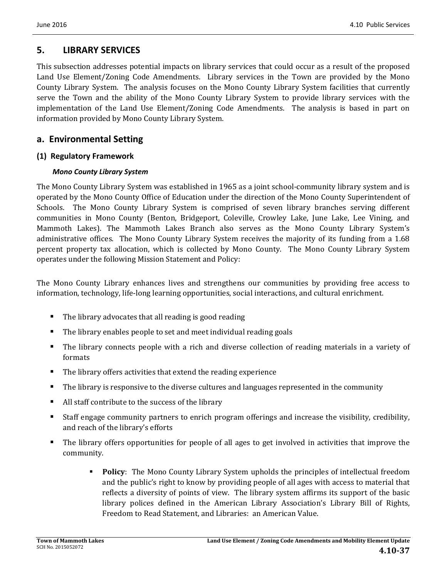## **5. LIBRARY SERVICES**

This subsection addresses potential impacts on library services that could occur as a result of the proposed Land Use Element/Zoning Code Amendments. Library services in the Town are provided by the Mono County Library System. The analysis focuses on the Mono County Library System facilities that currently serve the Town and the ability of the Mono County Library System to provide library services with the implementation of the Land Use Element/Zoning Code Amendments. The analysis is based in part on information provided by Mono County Library System.

## **a. Environmental Setting**

## **(1) Regulatory Framework**

### *Mono County Library System*

The Mono County Library System was established in 1965 as a joint school-community library system and is operated by the Mono County Office of Education under the direction of the Mono County Superintendent of Schools. The Mono County Library System is comprised of seven library branches serving different communities in Mono County (Benton, Bridgeport, Coleville, Crowley Lake, June Lake, Lee Vining, and Mammoth Lakes). The Mammoth Lakes Branch also serves as the Mono County Library System's administrative offices. The Mono County Library System receives the majority of its funding from a 1.68 percent property tax allocation, which is collected by Mono County. The Mono County Library System operates under the following Mission Statement and Policy:

The Mono County Library enhances lives and strengthens our communities by providing free access to information, technology, life-long learning opportunities, social interactions, and cultural enrichment.

- The library advocates that all reading is good reading
- The library enables people to set and meet individual reading goals
- The library connects people with a rich and diverse collection of reading materials in a variety of formats
- The library offers activities that extend the reading experience
- **The library is responsive to the diverse cultures and languages represented in the community**
- $\blacksquare$  All staff contribute to the success of the library
- Staff engage community partners to enrich program offerings and increase the visibility, credibility, and reach of the library's efforts
- The library offers opportunities for people of all ages to get involved in activities that improve the community.
	- **Policy**: The Mono County Library System upholds the principles of intellectual freedom and the public's right to know by providing people of all ages with access to material that reflects a diversity of points of view. The library system affirms its support of the basic library polices defined in the American Library Association's Library Bill of Rights, Freedom to Read Statement, and Libraries: an American Value.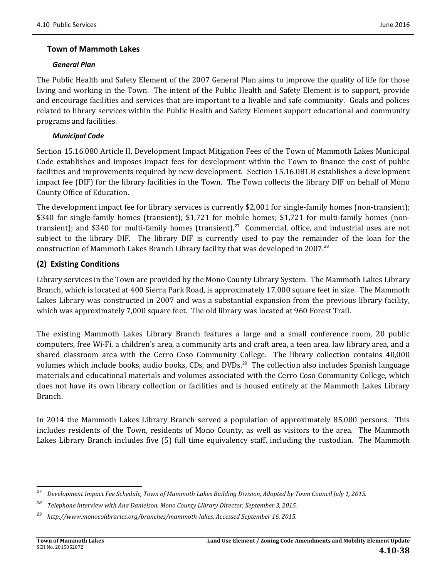### **Town of Mammoth Lakes**

#### *General Plan*

The Public Health and Safety Element of the 2007 General Plan aims to improve the quality of life for those living and working in the Town. The intent of the Public Health and Safety Element is to support, provide and encourage facilities and services that are important to a livable and safe community. Goals and polices related to library services within the Public Health and Safety Element support educational and community programs and facilities.

### *Municipal Code*

Section 15.16.080 Article II, Development Impact Mitigation Fees of the Town of Mammoth Lakes Municipal Code establishes and imposes impact fees for development within the Town to finance the cost of public facilities and improvements required by new development. Section 15.16.081.B establishes a development impact fee (DIF) for the library facilities in the Town. The Town collects the library DIF on behalf of Mono County Office of Education.

The development impact fee for library services is currently  $$2,001$  for single-family homes (non-transient); \$340 for single-family homes (transient); \$1,721 for mobile homes; \$1,721 for multi-family homes (nontransient); and \$340 for multi-family homes (transient).<sup>27</sup> Commercial, office, and industrial uses are not subject to the library DIF. The library DIF is currently used to pay the remainder of the loan for the construction of Mammoth Lakes Branch Library facility that was developed in 2007.<sup>28</sup>

### **(2) Existing Conditions**

Library services in the Town are provided by the Mono County Library System. The Mammoth Lakes Library Branch, which is located at 400 Sierra Park Road, is approximately 17,000 square feet in size. The Mammoth Lakes Library was constructed in 2007 and was a substantial expansion from the previous library facility, which was approximately 7,000 square feet. The old library was located at 960 Forest Trail.

The existing Mammoth Lakes Library Branch features a large and a small conference room, 20 public computers, free Wi-Fi, a children's area, a community arts and craft area, a teen area, law library area, and a shared classroom area with the Cerro Coso Community College. The library collection contains 40,000 volumes which include books, audio books, CDs, and DVDs.<sup>29</sup> The collection also includes Spanish language materials and educational materials and volumes associated with the Cerro Coso Community College, which does not have its own library collection or facilities and is housed entirely at the Mammoth Lakes Library Branch. 

In 2014 the Mammoth Lakes Library Branch served a population of approximately 85,000 persons. This includes residents of the Town, residents of Mono County, as well as visitors to the area. The Mammoth Lakes Library Branch includes five (5) full time equivalency staff, including the custodian. The Mammoth

<sup>&</sup>lt;u> 1989 - Johann Stein, fransk politik (d. 1989)</u> <sup>27</sup> Development Impact Fee Schedule, Town of Mammoth Lakes Building Division, Adopted by Town Council July 1, 2015.

*<sup>28</sup> Telephone interview with Ana Danielson, Mono County Library Director, September 3, 2015.*

*<sup>29</sup> http://www.monocolibraries.org/branches/mammoth‐lakes, Accessed September 16, 2015.*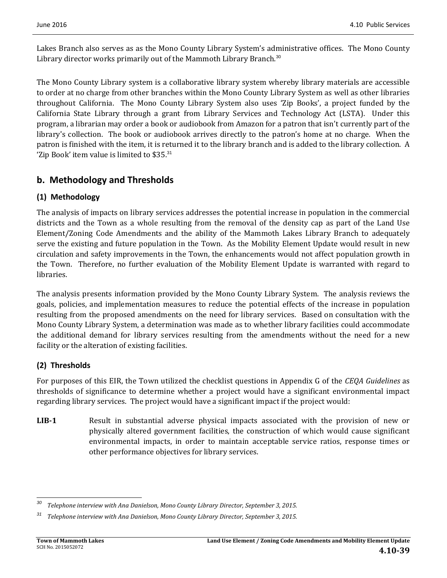Lakes Branch also serves as as the Mono County Library System's administrative offices. The Mono County Library director works primarily out of the Mammoth Library Branch. $30$ 

The Mono County Library system is a collaborative library system whereby library materials are accessible to order at no charge from other branches within the Mono County Library System as well as other libraries throughout California. The Mono County Library System also uses 'Zip Books', a project funded by the California State Library through a grant from Library Services and Technology Act (LSTA). Under this program, a librarian may order a book or audiobook from Amazon for a patron that isn't currently part of the library's collection. The book or audiobook arrives directly to the patron's home at no charge. When the patron is finished with the item, it is returned it to the library branch and is added to the library collection. A 'Zip Book' item value is limited to  $$35.^{31}$ 

## **b. Methodology and Thresholds**

## **(1) Methodology**

The analysis of impacts on library services addresses the potential increase in population in the commercial districts and the Town as a whole resulting from the removal of the density cap as part of the Land Use Element/Zoning Code Amendments and the ability of the Mammoth Lakes Library Branch to adequately serve the existing and future population in the Town. As the Mobility Element Update would result in new circulation and safety improvements in the Town, the enhancements would not affect population growth in the Town. Therefore, no further evaluation of the Mobility Element Update is warranted with regard to libraries. 

The analysis presents information provided by the Mono County Library System. The analysis reviews the goals, policies, and implementation measures to reduce the potential effects of the increase in population resulting from the proposed amendments on the need for library services. Based on consultation with the Mono County Library System, a determination was made as to whether library facilities could accommodate the additional demand for library services resulting from the amendments without the need for a new facility or the alteration of existing facilities.

## **(2) Thresholds**

For purposes of this EIR, the Town utilized the checklist questions in Appendix G of the *CEQA Guidelines* as thresholds of significance to determine whether a project would have a significant environmental impact regarding library services. The project would have a significant impact if the project would:

**LIB1** Result in substantial adverse physical impacts associated with the provision of new or physically altered government facilities, the construction of which would cause significant environmental impacts, in order to maintain acceptable service ratios, response times or other performance objectives for library services.

 *<sup>30</sup> Telephone interview with Ana Danielson, Mono County Library Director, September 3, 2015.*

*<sup>31</sup> Telephone interview with Ana Danielson, Mono County Library Director, September 3, 2015.*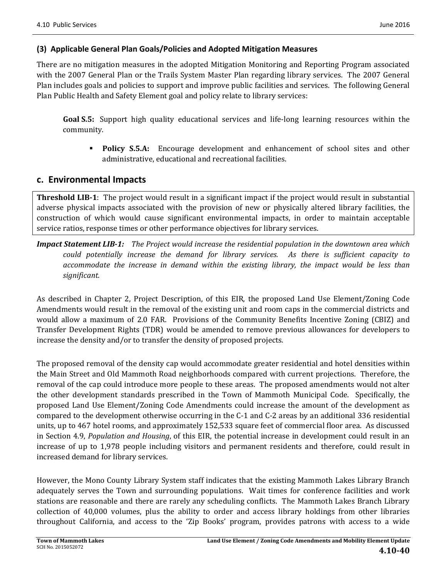### **(3) Applicable General Plan Goals/Policies and Adopted Mitigation Measures**

There are no mitigation measures in the adopted Mitigation Monitoring and Reporting Program associated with the 2007 General Plan or the Trails System Master Plan regarding library services. The 2007 General Plan includes goals and policies to support and improve public facilities and services. The following General Plan Public Health and Safety Element goal and policy relate to library services:

**Goal S.5:** Support high quality educational services and life-long learning resources within the community. 

**Policy S.5.A:** Encourage development and enhancement of school sites and other administrative, educational and recreational facilities.

## **c. Environmental Impacts**

**Threshold LIB-1:** The project would result in a significant impact if the project would result in substantial adverse physical impacts associated with the provision of new or physically altered library facilities, the construction of which would cause significant environmental impacts, in order to maintain acceptable service ratios, response times or other performance objectives for library services.

*Impact Statement LIB‐1: The Project would increase the residential population in the downtown area which could potentially increase the demand for library services. As there is sufficient capacity to accommodate the increase in demand within the existing library, the impact would be less than significant.* 

As described in Chapter 2, Project Description, of this EIR, the proposed Land Use Element/Zoning Code Amendments would result in the removal of the existing unit and room caps in the commercial districts and would allow a maximum of 2.0 FAR. Provisions of the Community Benefits Incentive Zoning (CBIZ) and Transfer Development Rights (TDR) would be amended to remove previous allowances for developers to increase the density and/or to transfer the density of proposed projects.

The proposed removal of the density cap would accommodate greater residential and hotel densities within the Main Street and Old Mammoth Road neighborhoods compared with current projections. Therefore, the removal of the cap could introduce more people to these areas. The proposed amendments would not alter the other development standards prescribed in the Town of Mammoth Municipal Code. Specifically, the proposed Land Use Element/Zoning Code Amendments could increase the amount of the development as compared to the development otherwise occurring in the C-1 and C-2 areas by an additional 336 residential units, up to 467 hotel rooms, and approximately 152,533 square feet of commercial floor area. As discussed in Section 4.9, *Population and Housing*, of this EIR, the potential increase in development could result in an increase of up to 1,978 people including visitors and permanent residents and therefore, could result in increased demand for library services.

However, the Mono County Library System staff indicates that the existing Mammoth Lakes Library Branch adequately serves the Town and surrounding populations. Wait times for conference facilities and work stations are reasonable and there are rarely any scheduling conflicts. The Mammoth Lakes Branch Library collection of 40,000 volumes, plus the ability to order and access library holdings from other libraries throughout California, and access to the 'Zip Books' program, provides patrons with access to a wide